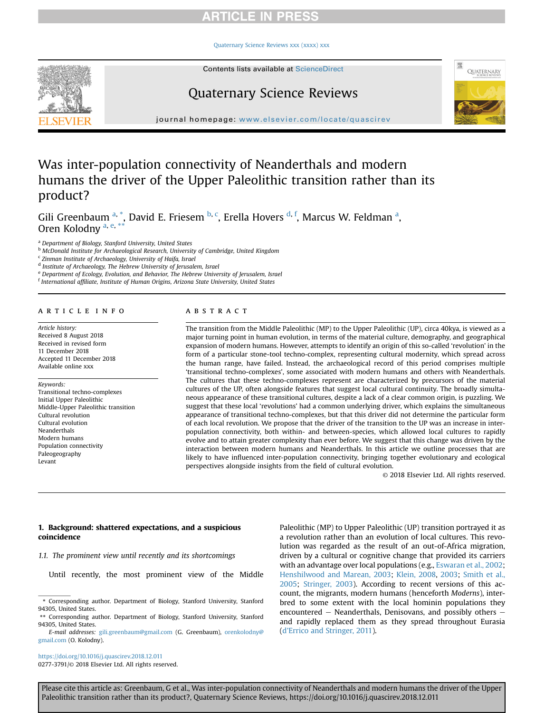#### [Quaternary Science Reviews xxx \(xxxx\) xxx](https://doi.org/10.1016/j.quascirev.2018.12.011)



Contents lists available at [ScienceDirect](www.sciencedirect.com/science/journal/02773791)

# Quaternary Science Reviews



journal homepage: [www.elsevier.com/locate/quascirev](http://www.elsevier.com/locate/quascirev)

# Was inter-population connectivity of Neanderthals and modern humans the driver of the Upper Paleolithic transition rather than its product?

Gili Greenbaum <sup>a, \*</sup>, David E. Friesem <sup>b, c</sup>, Erella Hovers <sup>d, f</sup>, Marcus W. Feldman <sup>a</sup>, Oren Kolodny<sup>a, e,\*\*</sup>

<sup>a</sup> Department of Biology, Stanford University, United States

<sup>b</sup> McDonald Institute for Archaeological Research, University of Cambridge, United Kingdom

<sup>c</sup> Zinman Institute of Archaeology, University of Haifa, Israel

<sup>d</sup> Institute of Archaeology, The Hebrew University of Jerusalem, Israel

<sup>e</sup> Department of Ecology, Evolution, and Behavior, The Hebrew University of Jerusalem, Israel

<sup>f</sup> International affiliate, Institute of Human Origins, Arizona State University, United States

### article info

Article history: Received 8 August 2018 Received in revised form 11 December 2018 Accepted 11 December 2018 Available online xxx

#### Keywords:

Transitional techno-complexes Initial Upper Paleolithic Middle-Upper Paleolithic transition Cultural revolution Cultural evolution Neanderthals Modern humans Population connectivity Paleogeography Levant

### **ABSTRACT**

The transition from the Middle Paleolithic (MP) to the Upper Paleolithic (UP), circa 40kya, is viewed as a major turning point in human evolution, in terms of the material culture, demography, and geographical expansion of modern humans. However, attempts to identify an origin of this so-called 'revolution' in the form of a particular stone-tool techno-complex, representing cultural modernity, which spread across the human range, have failed. Instead, the archaeological record of this period comprises multiple 'transitional techno-complexes', some associated with modern humans and others with Neanderthals. The cultures that these techno-complexes represent are characterized by precursors of the material cultures of the UP, often alongside features that suggest local cultural continuity. The broadly simultaneous appearance of these transitional cultures, despite a lack of a clear common origin, is puzzling. We suggest that these local 'revolutions' had a common underlying driver, which explains the simultaneous appearance of transitional techno-complexes, but that this driver did not determine the particular form of each local revolution. We propose that the driver of the transition to the UP was an increase in interpopulation connectivity, both within- and between-species, which allowed local cultures to rapidly evolve and to attain greater complexity than ever before. We suggest that this change was driven by the interaction between modern humans and Neanderthals. In this article we outline processes that are likely to have influenced inter-population connectivity, bringing together evolutionary and ecological perspectives alongside insights from the field of cultural evolution.

© 2018 Elsevier Ltd. All rights reserved.

### 1. Background: shattered expectations, and a suspicious coincidence

1.1. The prominent view until recently and its shortcomings

Until recently, the most prominent view of the Middle

<https://doi.org/10.1016/j.quascirev.2018.12.011> 0277-3791/© 2018 Elsevier Ltd. All rights reserved. Paleolithic (MP) to Upper Paleolithic (UP) transition portrayed it as a revolution rather than an evolution of local cultures. This revolution was regarded as the result of an out-of-Africa migration, driven by a cultural or cognitive change that provided its carriers with an advantage over local populations (e.g., [Eswaran et al., 2002;](#page-10-0) [Henshilwood and Marean, 2003](#page-11-0); [Klein, 2008](#page-11-0), [2003;](#page-11-0) [Smith et al.,](#page-12-0) [2005;](#page-12-0) [Stringer, 2003](#page-12-0)). According to recent versions of this account, the migrants, modern humans (henceforth Moderns), interbred to some extent with the local hominin populations they encountered  $-$  Neanderthals, Denisovans, and possibly others  $$ and rapidly replaced them as they spread throughout Eurasia (d'[Errico and Stringer, 2011\)](#page-10-0).

<sup>\*</sup> Corresponding author. Department of Biology, Stanford University, Stanford 94305, United States.

<sup>\*\*</sup> Corresponding author. Department of Biology, Stanford University, Stanford 94305, United States.

E-mail addresses: [gili.greenbaum@gmail.com](mailto:gili.greenbaum@gmail.com) (G. Greenbaum), [orenkolodny@](mailto:orenkolodny@gmail.com) [gmail.com](mailto:orenkolodny@gmail.com) (O. Kolodny).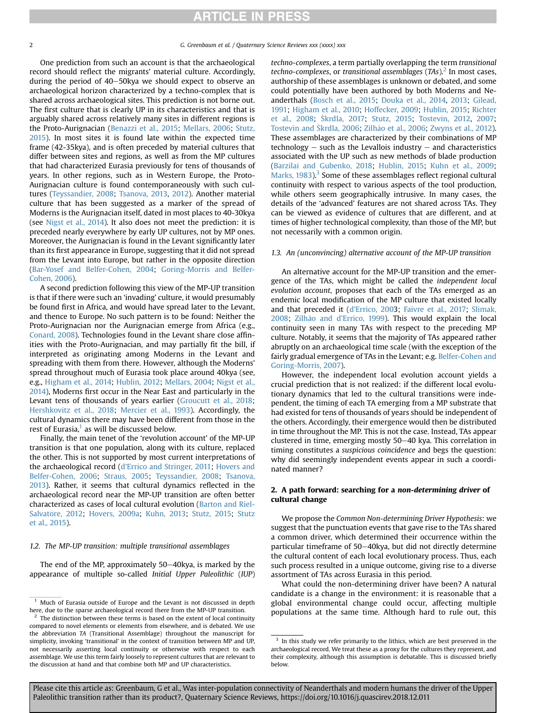2 G. Greenbaum et al. / Quaternary Science Reviews xxx (xxxx) xxx

One prediction from such an account is that the archaeological record should reflect the migrants' material culture. Accordingly, during the period of  $40-50$ kya we should expect to observe an archaeological horizon characterized by a techno-complex that is shared across archaeological sites. This prediction is not borne out. The first culture that is clearly UP in its characteristics and that is arguably shared across relatively many sites in different regions is the Proto-Aurignacian [\(Benazzi et al., 2015](#page-10-0); [Mellars, 2006;](#page-12-0) [Stutz,](#page-12-0) [2015](#page-12-0)). In most sites it is found late within the expected time frame (42-35kya), and is often preceded by material cultures that differ between sites and regions, as well as from the MP cultures that had characterized Eurasia previously for tens of thousands of years. In other regions, such as in Western Europe, the Proto-Aurignacian culture is found contemporaneously with such cultures [\(Teyssandier, 2008;](#page-12-0) [Tsanova, 2013](#page-12-0), [2012](#page-12-0)). Another material culture that has been suggested as a marker of the spread of Moderns is the Aurignacian itself, dated in most places to 40-30kya (see [Nigst et al., 2014\)](#page-12-0). It also does not meet the prediction: it is preceded nearly everywhere by early UP cultures, not by MP ones. Moreover, the Aurignacian is found in the Levant significantly later than its first appearance in Europe, suggesting that it did not spread from the Levant into Europe, but rather in the opposite direction ([Bar-Yosef and Belfer-Cohen, 2004](#page-10-0); [Goring-Morris and Belfer-](#page-11-0)[Cohen, 2006](#page-11-0)).

A second prediction following this view of the MP-UP transition is that if there were such an 'invading' culture, it would presumably be found first in Africa, and would have spread later to the Levant, and thence to Europe. No such pattern is to be found: Neither the Proto-Aurignacian nor the Aurignacian emerge from Africa (e.g., [Conard, 2008](#page-10-0)). Technologies found in the Levant share close affinities with the Proto-Aurignacian, and may partially fit the bill, if interpreted as originating among Moderns in the Levant and spreading with them from there. However, although the Moderns' spread throughout much of Eurasia took place around 40kya (see, e.g., [Higham et al., 2014;](#page-11-0) [Hublin, 2012](#page-11-0); [Mellars, 2004;](#page-12-0) [Nigst et al.,](#page-12-0) [2014](#page-12-0)), Moderns first occur in the Near East and particularly in the Levant tens of thousands of years earlier ([Groucutt et al., 2018](#page-11-0); [Hershkovitz et al., 2018](#page-11-0); [Mercier et al., 1993\)](#page-12-0). Accordingly, the cultural dynamics there may have been different from those in the rest of Eurasia, $<sup>1</sup>$  as will be discussed below.</sup>

Finally, the main tenet of the 'revolution account' of the MP-UP transition is that one population, along with its culture, replaced the other. This is not supported by most current interpretations of the archaeological record (d'[Errico and Stringer, 2011](#page-10-0); [Hovers and](#page-11-0) [Belfer-Cohen, 2006](#page-11-0); [Straus, 2005;](#page-12-0) [Teyssandier, 2008;](#page-12-0) [Tsanova,](#page-12-0) [2013](#page-12-0)). Rather, it seems that cultural dynamics reflected in the archaeological record near the MP-UP transition are often better characterized as cases of local cultural evolution ([Barton and Riel-](#page-10-0)[Salvatore, 2012;](#page-10-0) [Hovers, 2009a](#page-11-0); [Kuhn, 2013;](#page-11-0) [Stutz, 2015;](#page-12-0) [Stutz](#page-12-0) [et al., 2015\)](#page-12-0).

### 1.2. The MP-UP transition: multiple transitional assemblages

The end of the MP, approximately 50-40kya, is marked by the appearance of multiple so-called Initial Upper Paleolithic (IUP) techno-complexes, a term partially overlapping the term transitional techno-complexes, or transitional assemblages  $(TAs)<sup>2</sup>$  In most cases, authorship of these assemblages is unknown or debated, and some could potentially have been authored by both Moderns and Neanderthals ([Bosch et al., 2015](#page-10-0); [Douka et al., 2014](#page-10-0), [2013](#page-10-0); [Gilead,](#page-10-0) [1991;](#page-10-0) [Higham et al., 2010](#page-11-0); [Hoffecker, 2009;](#page-11-0) [Hublin, 2015](#page-11-0); [Richter](#page-12-0) [et al., 2008](#page-12-0); S[krdla, 2017](#page-12-0); [Stutz, 2015;](#page-12-0) [Tostevin, 2012,](#page-12-0) [2007](#page-12-0); [Tostevin and](#page-12-0) Š[krdla, 2006](#page-12-0); Zilhão et al., 2006; [Zwyns et al., 2012\)](#page-13-0). These assemblages are characterized by their combinations of MP technology  $-$  such as the Levallois industry  $-$  and characteristics associated with the UP such as new methods of blade production ([Barzilai and Gubenko, 2018](#page-10-0); [Hublin, 2015](#page-11-0); [Kuhn et al., 2009](#page-11-0); [Marks, 1983\)](#page-11-0).<sup>3</sup> Some of these assemblages reflect regional cultural continuity with respect to various aspects of the tool production, while others seem geographically intrusive. In many cases, the details of the 'advanced' features are not shared across TAs. They can be viewed as evidence of cultures that are different, and at times of higher technological complexity, than those of the MP, but not necessarily with a common origin.

### 1.3. An (unconvincing) alternative account of the MP-UP transition

An alternative account for the MP-UP transition and the emergence of the TAs, which might be called the independent local evolution account, proposes that each of the TAs emerged as an endemic local modification of the MP culture that existed locally and that preceded it (d'[Errico, 200](#page-10-0)3; [Faivre et al., 2017;](#page-10-0) [Slimak,](#page-12-0) [2008](#page-12-0); Zilhão and d'[Errico, 1999](#page-13-0)). This would explain the local continuity seen in many TAs with respect to the preceding MP culture. Notably, it seems that the majority of TAs appeared rather abruptly on an archaeological time scale (with the exception of the fairly gradual emergence of TAs in the Levant; e.g. [Belfer-Cohen and](#page-10-0) [Goring-Morris, 2007\)](#page-10-0).

However, the independent local evolution account yields a crucial prediction that is not realized: if the different local evolutionary dynamics that led to the cultural transitions were independent, the timing of each TA emerging from a MP substrate that had existed for tens of thousands of years should be independent of the others. Accordingly, their emergence would then be distributed in time throughout the MP. This is not the case. Instead, TAs appear clustered in time, emerging mostly 50–40 kya. This correlation in timing constitutes a suspicious coincidence and begs the question: why did seemingly independent events appear in such a coordinated manner?

### 2. A path forward: searching for a non-determining driver of cultural change

We propose the Common Non-determining Driver Hypothesis: we suggest that the punctuation events that gave rise to the TAs shared a common driver, which determined their occurrence within the particular timeframe of 50-40kya, but did not directly determine the cultural content of each local evolutionary process. Thus, each such process resulted in a unique outcome, giving rise to a diverse assortment of TAs across Eurasia in this period.

What could the non-determining driver have been? A natural candidate is a change in the environment: it is reasonable that a global environmental change could occur, affecting multiple populations at the same time. Although hard to rule out, this

 $1$  Much of Eurasia outside of Europe and the Levant is not discussed in depth here, due to the sparse archaeological record there from the MP-UP transition.

 $2\degree$  The distinction between these terms is based on the extent of local continuity compared to novel elements or elements from elsewhere, and is debated. We use the abbreviation TA (Transitional Assemblage) throughout the manuscript for simplicity, invoking 'transitional' in the context of transition between MP and UP, not necessarily asserting local continuity or otherwise with respect to each assemblage. We use this term fairly loosely to represent cultures that are relevant to the discussion at hand and that combine both MP and UP characteristics.

In this study we refer primarily to the lithics, which are best preserved in the archaeological record. We treat these as a proxy for the cultures they represent, and their complexity, although this assumption is debatable. This is discussed briefly below.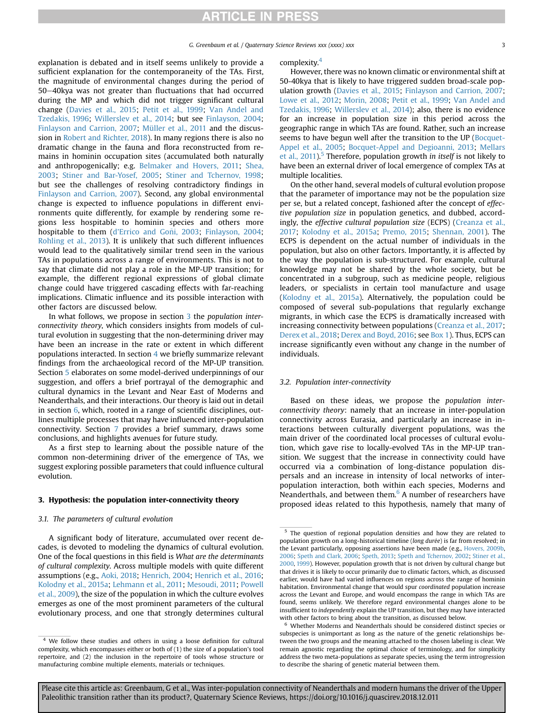explanation is debated and in itself seems unlikely to provide a sufficient explanation for the contemporaneity of the TAs. First, the magnitude of environmental changes during the period of 50-40kya was not greater than fluctuations that had occurred during the MP and which did not trigger significant cultural change [\(Davies et al., 2015;](#page-10-0) [Petit et al., 1999](#page-12-0); [Van Andel and](#page-13-0) [Tzedakis, 1996](#page-13-0); [Willerslev et al., 2014](#page-13-0); but see [Finlayson, 2004;](#page-10-0) [Finlayson and Carrion, 2007](#page-10-0); [Müller et al., 2011](#page-12-0) and the discussion in [Robert and Richter, 2018](#page-12-0)). In many regions there is also no dramatic change in the fauna and flora reconstructed from remains in hominin occupation sites (accumulated both naturally and anthropogenically; e.g. [Belmaker and Hovers, 2011](#page-10-0); [Shea,](#page-12-0) [2003;](#page-12-0) [Stiner and Bar-Yosef, 2005](#page-12-0); [Stiner and Tchernov, 1998;](#page-12-0) but see the challenges of resolving contradictory findings in [Finlayson and Carrion, 2007\)](#page-10-0). Second, any global environmental change is expected to influence populations in different environments quite differently, for example by rendering some regions less hospitable to hominin species and others more hospitable to them (d'Errico and Goñi, 2003; [Finlayson, 2004;](#page-10-0) [Rohling et al., 2013\)](#page-12-0). It is unlikely that such different influences would lead to the qualitatively similar trend seen in the various TAs in populations across a range of environments. This is not to say that climate did not play a role in the MP-UP transition; for example, the different regional expressions of global climate change could have triggered cascading effects with far-reaching implications. Climatic influence and its possible interaction with other factors are discussed below.

In what follows, we propose in section 3 the *population* interconnectivity theory, which considers insights from models of cultural evolution in suggesting that the non-determining driver may have been an increase in the rate or extent in which different populations interacted. In section 4 we briefly summarize relevant findings from the archaeological record of the MP-UP transition. Section [5](#page-4-0) elaborates on some model-derived underpinnings of our suggestion, and offers a brief portrayal of the demographic and cultural dynamics in the Levant and Near East of Moderns and Neanderthals, and their interactions. Our theory is laid out in detail in section  $6$ , which, rooted in a range of scientific disciplines, outlines multiple processes that may have influenced inter-population connectivity. Section [7](#page-9-0) provides a brief summary, draws some conclusions, and highlights avenues for future study.

As a first step to learning about the possible nature of the common non-determining driver of the emergence of TAs, we suggest exploring possible parameters that could influence cultural evolution.

### 3. Hypothesis: the population inter-connectivity theory

### 3.1. The parameters of cultural evolution

A significant body of literature, accumulated over recent decades, is devoted to modeling the dynamics of cultural evolution. One of the focal questions in this field is What are the determinants of cultural complexity. Across multiple models with quite different assumptions (e.g., [Aoki, 2018](#page-10-0); [Henrich, 2004;](#page-11-0) [Henrich et al., 2016;](#page-11-0) [Kolodny et al., 2015a](#page-11-0); [Lehmann et al., 2011](#page-11-0); [Mesoudi, 2011](#page-12-0); [Powell](#page-12-0) [et al., 2009\)](#page-12-0), the size of the population in which the culture evolves emerges as one of the most prominent parameters of the cultural evolutionary process, and one that strongly determines cultural

complexity.<sup>4</sup>

However, there was no known climatic or environmental shift at 50-40kya that is likely to have triggered sudden broad-scale population growth ([Davies et al., 2015](#page-10-0); [Finlayson and Carrion, 2007;](#page-10-0) [Lowe et al., 2012](#page-11-0); [Morin, 2008;](#page-12-0) [Petit et al., 1999](#page-12-0); [Van Andel and](#page-13-0) [Tzedakis, 1996;](#page-13-0) [Willerslev et al., 2014\)](#page-13-0); also, there is no evidence for an increase in population size in this period across the geographic range in which TAs are found. Rather, such an increase seems to have begun well after the transition to the UP ([Bocquet-](#page-10-0)[Appel et al., 2005;](#page-10-0) [Bocquet-Appel and Degioanni, 2013;](#page-10-0) [Mellars](#page-12-0) [et al., 2011](#page-12-0)).<sup>5</sup> Therefore, population growth *in itself* is not likely to have been an external driver of local emergence of complex TAs at multiple localities.

On the other hand, several models of cultural evolution propose that the parameter of importance may not be the population size per se, but a related concept, fashioned after the concept of effective population size in population genetics, and dubbed, accord-ingly, the effective cultural population size (ECPS) ([Creanza et al.,](#page-10-0) [2017;](#page-10-0) [Kolodny et al., 2015a;](#page-11-0) [Premo, 2015](#page-12-0); [Shennan, 2001\)](#page-12-0). The ECPS is dependent on the actual number of individuals in the population, but also on other factors. Importantly, it is affected by the way the population is sub-structured. For example, cultural knowledge may not be shared by the whole society, but be concentrated in a subgroup, such as medicine people, religious leaders, or specialists in certain tool manufacture and usage ([Kolodny et al., 2015a](#page-11-0)). Alternatively, the population could be composed of several sub-populations that regularly exchange migrants, in which case the ECPS is dramatically increased with increasing connectivity between populations [\(Creanza et al., 2017;](#page-10-0) [Derex et al., 2018](#page-10-0); [Derex and Boyd, 2016;](#page-10-0) see Box 1). Thus, ECPS can increase significantly even without any change in the number of individuals.

#### 3.2. Population inter-connectivity

Based on these ideas, we propose the population interconnectivity theory: namely that an increase in inter-population connectivity across Eurasia, and particularly an increase in interactions between culturally divergent populations, was the main driver of the coordinated local processes of cultural evolution, which gave rise to locally-evolved TAs in the MP-UP transition. We suggest that the increase in connectivity could have occurred via a combination of long-distance population dispersals and an increase in intensity of local networks of interpopulation interaction, both within each species, Moderns and Neanderthals, and between them. $6$  A number of researchers have proposed ideas related to this hypothesis, namely that many of

<sup>4</sup> We follow these studies and others in using a loose definition for cultural complexity, which encompasses either or both of (1) the size of a population's tool repertoire, and (2) the inclusion in the repertoire of tools whose structure or manufacturing combine multiple elements, materials or techniques.

<sup>&</sup>lt;sup>5</sup> The question of regional population densities and how they are related to population growth on a long-historical timeline (long durée) is far from resolved; in the Levant particularly, opposing assertions have been made (e.g., [Hovers, 2009b](#page-11-0), [2006;](#page-11-0) [Speth and Clark, 2006;](#page-12-0) [Speth, 2013;](#page-12-0) [Speth and Tchernov, 2002](#page-12-0); [Stiner et al.,](#page-12-0) [2000](#page-12-0), [1999\)](#page-12-0). However, population growth that is not driven by cultural change but that drives it is likely to occur primarily due to climatic factors, which, as discussed earlier, would have had varied influences on regions across the range of hominin habitation. Environmental change that would spur coordinated population increase across the Levant and Europe, and would encompass the range in which TAs are found, seems unlikely. We therefore regard environmental changes alone to be insufficient to independently explain the UP transition, but they may have interacted with other factors to bring about the transition, as discussed below.

 $6$  Whether Moderns and Neanderthals should be considered distinct species or subspecies is unimportant as long as the nature of the genetic relationships between the two groups and the meaning attached to the chosen labeling is clear. We remain agnostic regarding the optimal choice of terminology, and for simplicity address the two meta-populations as separate species, using the term introgression to describe the sharing of genetic material between them.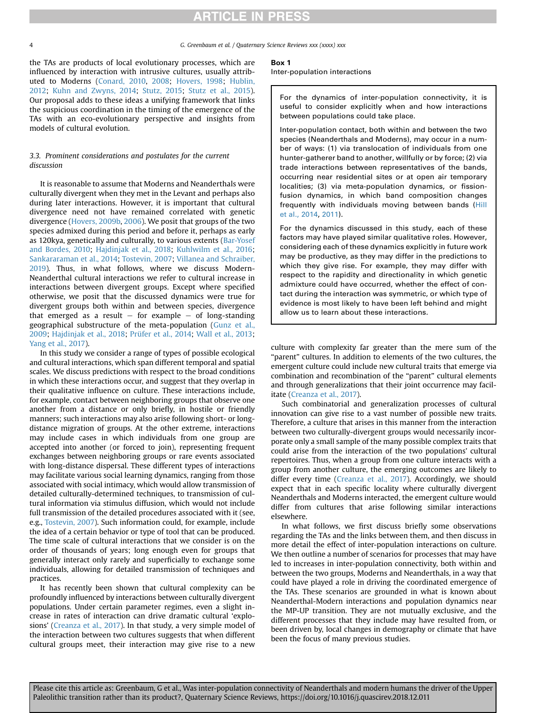4 G. Greenbaum et al. / Quaternary Science Reviews xxx (xxxx) xxx

the TAs are products of local evolutionary processes, which are influenced by interaction with intrusive cultures, usually attributed to Moderns ([Conard, 2010](#page-10-0), [2008;](#page-10-0) [Hovers, 1998](#page-11-0); [Hublin,](#page-11-0) [2012](#page-11-0); [Kuhn and Zwyns, 2014;](#page-11-0) [Stutz, 2015;](#page-12-0) [Stutz et al., 2015\)](#page-12-0). Our proposal adds to these ideas a unifying framework that links the suspicious coordination in the timing of the emergence of the TAs with an eco-evolutionary perspective and insights from models of cultural evolution.

### 3.3. Prominent considerations and postulates for the current discussion

It is reasonable to assume that Moderns and Neanderthals were culturally divergent when they met in the Levant and perhaps also during later interactions. However, it is important that cultural divergence need not have remained correlated with genetic divergence [\(Hovers, 2009b](#page-11-0), [2006\)](#page-11-0). We posit that groups of the two species admixed during this period and before it, perhaps as early as 120kya, genetically and culturally, to various extents ([Bar-Yosef](#page-10-0) [and Bordes, 2010](#page-10-0); [Hajdinjak et al., 2018](#page-11-0); [Kuhlwilm et al., 2016](#page-11-0); [Sankararaman et al., 2014;](#page-12-0) [Tostevin, 2007;](#page-12-0) [Villanea and Schraiber,](#page-13-0) [2019](#page-13-0)). Thus, in what follows, where we discuss Modern-Neanderthal cultural interactions we refer to cultural increase in interactions between divergent groups. Except where specified otherwise, we posit that the discussed dynamics were true for divergent groups both within and between species, divergence that emerged as a result  $-$  for example  $-$  of long-standing geographical substructure of the meta-population ([Gunz et al.,](#page-11-0) [2009](#page-11-0); [Hajdinjak et al., 2018](#page-11-0); [Prüfer et al., 2014](#page-12-0); [Wall et al., 2013](#page-13-0); [Yang et al., 2017\)](#page-13-0).

In this study we consider a range of types of possible ecological and cultural interactions, which span different temporal and spatial scales. We discuss predictions with respect to the broad conditions in which these interactions occur, and suggest that they overlap in their qualitative influence on culture. These interactions include, for example, contact between neighboring groups that observe one another from a distance or only briefly, in hostile or friendly manners; such interactions may also arise following short- or longdistance migration of groups. At the other extreme, interactions may include cases in which individuals from one group are accepted into another (or forced to join), representing frequent exchanges between neighboring groups or rare events associated with long-distance dispersal. These different types of interactions may facilitate various social learning dynamics, ranging from those associated with social intimacy, which would allow transmission of detailed culturally-determined techniques, to transmission of cultural information via stimulus diffusion, which would not include full transmission of the detailed procedures associated with it (see, e.g., [Tostevin, 2007](#page-12-0)). Such information could, for example, include the idea of a certain behavior or type of tool that can be produced. The time scale of cultural interactions that we consider is on the order of thousands of years; long enough even for groups that generally interact only rarely and superficially to exchange some individuals, allowing for detailed transmission of techniques and practices.

It has recently been shown that cultural complexity can be profoundly influenced by interactions between culturally divergent populations. Under certain parameter regimes, even a slight increase in rates of interaction can drive dramatic cultural 'explosions' ([Creanza et al., 2017](#page-10-0)). In that study, a very simple model of the interaction between two cultures suggests that when different cultural groups meet, their interaction may give rise to a new

### Box 1

Inter-population interactions

For the dynamics of inter-population connectivity, it is useful to consider explicitly when and how interactions between populations could take place.

Inter-population contact, both within and between the two species (Neanderthals and Moderns), may occur in a number of ways: (1) via translocation of individuals from one hunter-gatherer band to another, willfully or by force; (2) via trade interactions between representatives of the bands, occurring near residential sites or at open air temporary localities; (3) via meta-population dynamics, or fissionfusion dynamics, in which band composition changes frequently with individuals moving between bands [\(Hill](#page-11-0) [et al., 2014,](#page-11-0) [2011](#page-11-0)).

For the dynamics discussed in this study, each of these factors may have played similar qualitative roles. However, considering each of these dynamics explicitly in future work may be productive, as they may differ in the predictions to which they give rise. For example, they may differ with respect to the rapidity and directionality in which genetic admixture could have occurred, whether the effect of contact during the interaction was symmetric, or which type of evidence is most likely to have been left behind and might allow us to learn about these interactions.

culture with complexity far greater than the mere sum of the "parent" cultures. In addition to elements of the two cultures, the emergent culture could include new cultural traits that emerge via combination and recombination of the "parent" cultural elements and through generalizations that their joint occurrence may facilitate [\(Creanza et al., 2017](#page-10-0)).

Such combinatorial and generalization processes of cultural innovation can give rise to a vast number of possible new traits. Therefore, a culture that arises in this manner from the interaction between two culturally-divergent groups would necessarily incorporate only a small sample of the many possible complex traits that could arise from the interaction of the two populations' cultural repertoires. Thus, when a group from one culture interacts with a group from another culture, the emerging outcomes are likely to differ every time [\(Creanza et al., 2017\)](#page-10-0). Accordingly, we should expect that in each specific locality where culturally divergent Neanderthals and Moderns interacted, the emergent culture would differ from cultures that arise following similar interactions elsewhere.

In what follows, we first discuss briefly some observations regarding the TAs and the links between them, and then discuss in more detail the effect of inter-population interactions on culture. We then outline a number of scenarios for processes that may have led to increases in inter-population connectivity, both within and between the two groups, Moderns and Neanderthals, in a way that could have played a role in driving the coordinated emergence of the TAs. These scenarios are grounded in what is known about Neanderthal-Modern interactions and population dynamics near the MP-UP transition. They are not mutually exclusive, and the different processes that they include may have resulted from, or been driven by, local changes in demography or climate that have been the focus of many previous studies.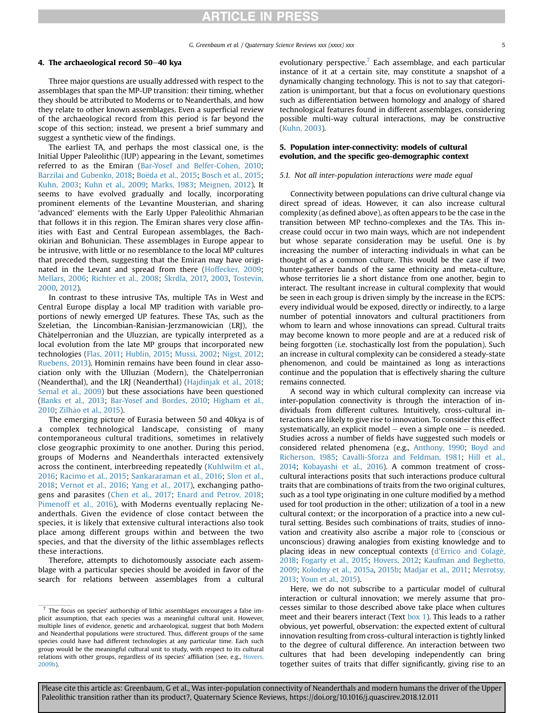### <span id="page-4-0"></span>4. The archaeological record  $50-40$  kya

Three major questions are usually addressed with respect to the assemblages that span the MP-UP transition: their timing, whether they should be attributed to Moderns or to Neanderthals, and how they relate to other known assemblages. Even a superficial review of the archaeological record from this period is far beyond the scope of this section; instead, we present a brief summary and suggest a synthetic view of the findings.

The earliest TA, and perhaps the most classical one, is the Initial Upper Paleolithic (IUP) appearing in the Levant, sometimes referred to as the Emiran ([Bar-Yosef and Belfer-Cohen, 2010;](#page-10-0) [Barzilai and Gubenko, 2018](#page-10-0); Boëda et al., 2015; [Bosch et al., 2015;](#page-10-0) [Kuhn, 2003;](#page-11-0) [Kuhn et al., 2009](#page-11-0); [Marks, 1983;](#page-11-0) [Meignen, 2012\)](#page-12-0). It seems to have evolved gradually and locally, incorporating prominent elements of the Levantine Mousterian, and sharing 'advanced' elements with the Early Upper Paleolithic Ahmarian that follows it in this region. The Emiran shares very close affinities with East and Central European assemblages, the Bachokirian and Bohunician. These assemblages in Europe appear to be intrusive, with little or no resemblance to the local MP cultures that preceded them, suggesting that the Emiran may have originated in the Levant and spread from there [\(Hoffecker, 2009;](#page-11-0) [Mellars, 2006;](#page-12-0) [Richter et al., 2008;](#page-12-0) [Skrdla, 2017,](#page-12-0) [2003](#page-12-0), [Tostevin,](#page-12-0) [2000](#page-12-0), [2012\)](#page-12-0).

In contrast to these intrusive TAs, multiple TAs in West and Central Europe display a local MP tradition with variable proportions of newly emerged UP features. These TAs, such as the Szeletian, the Lincombian-Ranisian-Jerzmanowician (LRJ), the Ch^ atelperronian and the Uluzzian, are typically interpreted as a local evolution from the late MP groups that incorporated new technologies ([Flas, 2011](#page-10-0); [Hublin, 2015](#page-11-0); [Mussi, 2002;](#page-12-0) [Nigst, 2012;](#page-12-0) [Ruebens, 2013\)](#page-12-0). Hominin remains have been found in clear association only with the Ulluzian (Modern), the Chatelperronian ^ (Neanderthal), and the LRJ (Neanderthal) [\(Hajdinjak et al., 2018;](#page-11-0) [Semal et al., 2009\)](#page-12-0) but these associations have been questioned ([Banks et al., 2013](#page-10-0); [Bar-Yosef and Bordes, 2010;](#page-10-0) [Higham et al.,](#page-11-0) [2010;](#page-11-0) Zilhão et al., 2015).

The emerging picture of Eurasia between 50 and 40kya is of a complex technological landscape, consisting of many contemporaneous cultural traditions, sometimes in relatively close geographic proximity to one another. During this period, groups of Moderns and Neanderthals interacted extensively across the continent, interbreeding repeatedly [\(Kuhlwilm et al.,](#page-11-0) [2016](#page-11-0); [Racimo et al., 2015;](#page-12-0) [Sankararaman et al., 2016](#page-12-0); [Slon et al.,](#page-12-0) [2018](#page-12-0); [Vernot et al., 2016;](#page-13-0) [Yang et al., 2017\)](#page-13-0), exchanging pathogens and parasites [\(Chen et al., 2017;](#page-10-0) [Enard and Petrov, 2018;](#page-10-0) [Pimenoff et al., 2016](#page-12-0)), with Moderns eventually replacing Neanderthals. Given the evidence of close contact between the species, it is likely that extensive cultural interactions also took place among different groups within and between the two species, and that the diversity of the lithic assemblages reflects these interactions.

Therefore, attempts to dichotomously associate each assemblage with a particular species should be avoided in favor of the search for relations between assemblages from a cultural evolutionary perspective.<sup>7</sup> Each assemblage, and each particular instance of it at a certain site, may constitute a snapshot of a dynamically changing technology. This is not to say that categorization is unimportant, but that a focus on evolutionary questions such as differentiation between homology and analogy of shared technological features found in different assemblages, considering possible multi-way cultural interactions, may be constructive ([Kuhn, 2003](#page-11-0)).

### 5. Population inter-connectivity: models of cultural evolution, and the specific geo-demographic context

### 5.1. Not all inter-population interactions were made equal

Connectivity between populations can drive cultural change via direct spread of ideas. However, it can also increase cultural complexity (as defined above), as often appears to be the case in the transition between MP techno-complexes and the TAs. This increase could occur in two main ways, which are not independent but whose separate consideration may be useful. One is by increasing the number of interacting individuals in what can be thought of as a common culture. This would be the case if two hunter-gatherer bands of the same ethnicity and meta-culture, whose territories lie a short distance from one another, begin to interact. The resultant increase in cultural complexity that would be seen in each group is driven simply by the increase in the ECPS: every individual would be exposed, directly or indirectly, to a large number of potential innovators and cultural practitioners from whom to learn and whose innovations can spread. Cultural traits may become known to more people and are at a reduced risk of being forgotten (i.e. stochastically lost from the population). Such an increase in cultural complexity can be considered a steady-state phenomenon, and could be maintained as long as interactions continue and the population that is effectively sharing the culture remains connected.

A second way in which cultural complexity can increase via inter-population connectivity is through the interaction of individuals from different cultures. Intuitively, cross-cultural interactions are likely to give rise to innovation. To consider this effect systematically, an explicit model  $-$  even a simple one  $-$  is needed. Studies across a number of fields have suggested such models or considered related phenomena (e.g., [Anthony, 1990](#page-10-0); [Boyd and](#page-10-0) [Richerson, 1985](#page-10-0); [Cavalli-Sforza and Feldman, 1981;](#page-10-0) [Hill et al.,](#page-11-0) [2014;](#page-11-0) [Kobayashi et al., 2016\)](#page-11-0). A common treatment of crosscultural interactions posits that such interactions produce cultural traits that are combinations of traits from the two original cultures, such as a tool type originating in one culture modified by a method used for tool production in the other; utilization of a tool in a new cultural context; or the incorporation of a practice into a new cultural setting. Besides such combinations of traits, studies of innovation and creativity also ascribe a major role to (conscious or unconscious) drawing analogies from existing knowledge and to placing ideas in new conceptual contexts (d'[Errico and Colag](#page-10-0)e[,](#page-10-0) [2018;](#page-10-0) [Fogarty et al., 2015;](#page-10-0) [Hovers, 2012](#page-11-0); [Kaufman and Beghetto,](#page-11-0) [2009;](#page-11-0) [Kolodny et al., 2015a](#page-11-0), [2015b](#page-11-0); [Madjar et al., 2011;](#page-11-0) [Merrotsy,](#page-12-0) [2013;](#page-12-0) [Youn et al., 2015\)](#page-13-0).

Here, we do not subscribe to a particular model of cultural interaction or cultural innovation; we merely assume that processes similar to those described above take place when cultures meet and their bearers interact (Text box 1). This leads to a rather obvious, yet powerful, observation: the expected extent of cultural innovation resulting from cross-cultural interaction is tightly linked to the degree of cultural difference. An interaction between two cultures that had been developing independently can bring together suites of traits that differ significantly, giving rise to an

<sup>7</sup> The focus on species' authorship of lithic assemblages encourages a false implicit assumption, that each species was a meaningful cultural unit. However, multiple lines of evidence, genetic and archaeological, suggest that both Modern and Neanderthal populations were structured. Thus, different groups of the same species could have had different technologies at any particular time. Each such group would be the meaningful cultural unit to study, with respect to its cultural relations with other groups, regardless of its species' affiliation (see, e.g., [Hovers,](#page-11-0) [2009b\)](#page-11-0).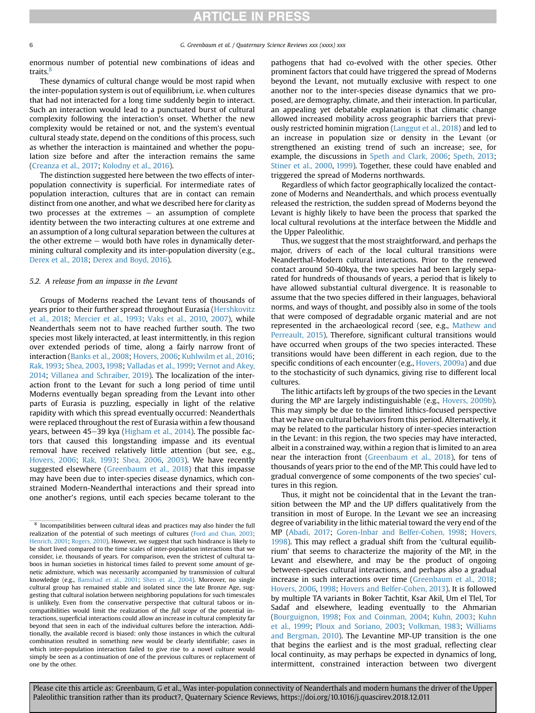enormous number of potential new combinations of ideas and traits.<sup>8</sup>

These dynamics of cultural change would be most rapid when the inter-population system is out of equilibrium, i.e. when cultures that had not interacted for a long time suddenly begin to interact. Such an interaction would lead to a punctuated burst of cultural complexity following the interaction's onset. Whether the new complexity would be retained or not, and the system's eventual cultural steady state, depend on the conditions of this process, such as whether the interaction is maintained and whether the population size before and after the interaction remains the same ([Creanza et al., 2017](#page-10-0); [Kolodny et al., 2016\)](#page-11-0).

The distinction suggested here between the two effects of interpopulation connectivity is superficial. For intermediate rates of population interaction, cultures that are in contact can remain distinct from one another, and what we described here for clarity as two processes at the extremes  $-$  an assumption of complete identity between the two interacting cultures at one extreme and an assumption of a long cultural separation between the cultures at the other extreme  $-$  would both have roles in dynamically determining cultural complexity and its inter-population diversity (e.g., [Derex et al., 2018](#page-10-0); [Derex and Boyd, 2016](#page-10-0)).

### 5.2. A release from an impasse in the Levant

Groups of Moderns reached the Levant tens of thousands of years prior to their further spread throughout Eurasia [\(Hershkovitz](#page-11-0) [et al., 2018;](#page-11-0) [Mercier et al., 1993](#page-12-0); [Vaks et al., 2010](#page-13-0), [2007](#page-13-0)), while Neanderthals seem not to have reached further south. The two species most likely interacted, at least intermittently, in this region over extended periods of time, along a fairly narrow front of interaction ([Banks et al., 2008;](#page-10-0) [Hovers, 2006;](#page-11-0) [Kuhlwilm et al., 2016](#page-11-0); [Rak, 1993;](#page-12-0) [Shea, 2003,](#page-12-0) [1998](#page-12-0); [Valladas et al., 1999;](#page-13-0) [Vernot and Akey,](#page-13-0) [2014](#page-13-0); [Villanea and Schraiber, 2019\)](#page-13-0). The localization of the interaction front to the Levant for such a long period of time until Moderns eventually began spreading from the Levant into other parts of Eurasia is puzzling, especially in light of the relative rapidity with which this spread eventually occurred: Neanderthals were replaced throughout the rest of Eurasia within a few thousand years, between 45–39 kya ([Higham et al., 2014](#page-11-0)). The possible factors that caused this longstanding impasse and its eventual removal have received relatively little attention (but see, e.g., [Hovers, 2006;](#page-11-0) [Rak, 1993;](#page-12-0) [Shea, 2006](#page-12-0), [2003](#page-12-0)). We have recently suggested elsewhere [\(Greenbaum et al., 2018\)](#page-11-0) that this impasse may have been due to inter-species disease dynamics, which constrained Modern-Neanderthal interactions and their spread into one another's regions, until each species became tolerant to the pathogens that had co-evolved with the other species. Other prominent factors that could have triggered the spread of Moderns beyond the Levant, not mutually exclusive with respect to one another nor to the inter-species disease dynamics that we proposed, are demography, climate, and their interaction. In particular, an appealing yet debatable explanation is that climatic change allowed increased mobility across geographic barriers that previously restricted hominin migration [\(Langgut et al., 2018](#page-11-0)) and led to an increase in population size or density in the Levant (or strengthened an existing trend of such an increase; see, for example, the discussions in [Speth and Clark, 2006;](#page-12-0) [Speth, 2013](#page-12-0); [Stiner et al., 2000](#page-12-0), [1999\)](#page-12-0). Together, these could have enabled and triggered the spread of Moderns northwards.

Regardless of which factor geographically localized the contactzone of Moderns and Neanderthals, and which process eventually released the restriction, the sudden spread of Moderns beyond the Levant is highly likely to have been the process that sparked the local cultural revolutions at the interface between the Middle and the Upper Paleolithic.

Thus, we suggest that the most straightforward, and perhaps the major, drivers of each of the local cultural transitions were Neanderthal-Modern cultural interactions. Prior to the renewed contact around 50-40kya, the two species had been largely separated for hundreds of thousands of years, a period that is likely to have allowed substantial cultural divergence. It is reasonable to assume that the two species differed in their languages, behavioral norms, and ways of thought, and possibly also in some of the tools that were composed of degradable organic material and are not represented in the archaeological record (see, e.g., [Mathew and](#page-11-0) [Perreault, 2015\)](#page-11-0). Therefore, significant cultural transitions would have occurred when groups of the two species interacted. These transitions would have been different in each region, due to the specific conditions of each encounter (e.g., [Hovers, 2009a](#page-11-0)) and due to the stochasticity of such dynamics, giving rise to different local cultures.

The lithic artifacts left by groups of the two species in the Levant during the MP are largely indistinguishable (e.g., [Hovers, 2009b\)](#page-11-0). This may simply be due to the limited lithics-focused perspective that we have on cultural behaviors from this period. Alternatively, it may be related to the particular history of inter-species interaction in the Levant: in this region, the two species may have interacted, albeit in a constrained way, within a region that is limited to an area near the interaction front ([Greenbaum et al., 2018](#page-11-0)), for tens of thousands of years prior to the end of the MP. This could have led to gradual convergence of some components of the two species' cultures in this region.

Thus, it might not be coincidental that in the Levant the transition between the MP and the UP differs qualitatively from the transition in most of Europe. In the Levant we see an increasing degree of variability in the lithic material toward the very end of the MP ([Abadi, 2017;](#page-10-0) [Goren-Inbar and Belfer-Cohen, 1998](#page-11-0); [Hovers,](#page-11-0) [1998](#page-11-0)). This may reflect a gradual shift from the 'cultural equilibrium' that seems to characterize the majority of the MP, in the Levant and elsewhere, and may be the product of ongoing between-species cultural interactions, and perhaps also a gradual increase in such interactions over time ([Greenbaum et al., 2018](#page-11-0); [Hovers, 2006,](#page-11-0) [1998](#page-11-0); [Hovers and Belfer-Cohen, 2013](#page-11-0)). It is followed by multiple TA variants in Boker Tachtit, Ksar Akil, Um el Tlel, Tor Sadaf and elsewhere, leading eventually to the Ahmarian ([Bourguignon, 1998;](#page-10-0) [Fox and Coinman, 2004;](#page-10-0) [Kuhn, 2003;](#page-11-0) [Kuhn](#page-11-0) [et al., 1999](#page-11-0); [Ploux and Soriano, 2003](#page-12-0); [Volkman, 1983](#page-13-0); [Williams](#page-13-0) [and Bergman, 2010](#page-13-0)). The Levantine MP-UP transition is the one that begins the earliest and is the most gradual, reflecting clear local continuity, as may perhaps be expected in dynamics of long, intermittent, constrained interaction between two divergent

 $8$  Incompatibilities between cultural ideas and practices may also hinder the full realization of the potential of such meetings of cultures [\(Ford and Chan, 2003;](#page-10-0) [Henrich, 2001;](#page-11-0) [Rogers, 2010](#page-12-0)). However, we suggest that such hindrance is likely to be short lived compared to the time scales of inter-population interactions that we consider, i.e. thousands of years. For comparison, even the strictest of cultural taboos in human societies in historical times failed to prevent some amount of genetic admixture, which was necessarily accompanied by transmission of cultural knowledge (e.g., [Bamshad et al., 2001;](#page-10-0) [Shen et al., 2004\)](#page-12-0). Moreover, no single cultural group has remained stable and isolated since the late Bronze Age, suggesting that cultural isolation between neighboring populations for such timescales is unlikely. Even from the conservative perspective that cultural taboos or incompatibilities would limit the realization of the full scope of the potential interactions, superficial interactions could allow an increase in cultural complexity far beyond that seen in each of the individual cultures before the interaction. Additionally, the available record is biased: only those instances in which the cultural combination resulted in something new would be clearly identifiable; cases in which inter-population interaction failed to give rise to a novel culture would simply be seen as a continuation of one of the previous cultures or replacement of one by the other.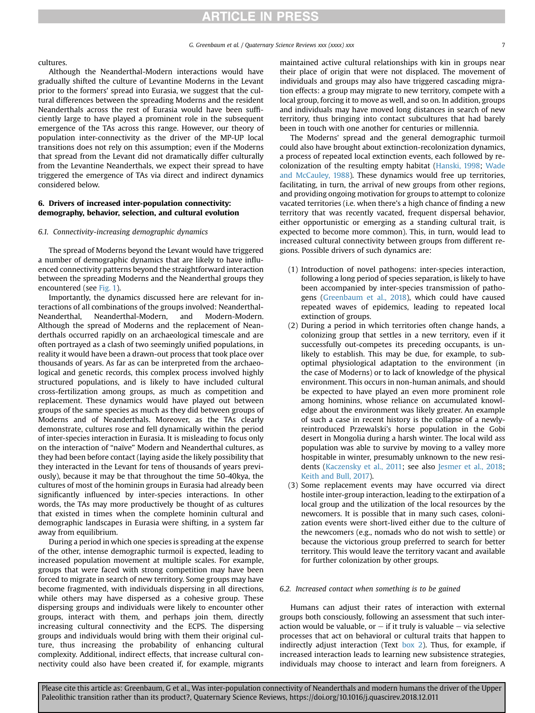#### <span id="page-6-0"></span>cultures.

Although the Neanderthal-Modern interactions would have gradually shifted the culture of Levantine Moderns in the Levant prior to the formers' spread into Eurasia, we suggest that the cultural differences between the spreading Moderns and the resident Neanderthals across the rest of Eurasia would have been sufficiently large to have played a prominent role in the subsequent emergence of the TAs across this range. However, our theory of population inter-connectivity as the driver of the MP-UP local transitions does not rely on this assumption; even if the Moderns that spread from the Levant did not dramatically differ culturally from the Levantine Neanderthals, we expect their spread to have triggered the emergence of TAs via direct and indirect dynamics considered below.

### 6. Drivers of increased inter-population connectivity: demography, behavior, selection, and cultural evolution

### 6.1. Connectivity-increasing demographic dynamics

The spread of Moderns beyond the Levant would have triggered a number of demographic dynamics that are likely to have influenced connectivity patterns beyond the straightforward interaction between the spreading Moderns and the Neanderthal groups they encountered (see [Fig. 1\)](#page-7-0).

Importantly, the dynamics discussed here are relevant for interactions of all combinations of the groups involved: Neanderthal-Neanderthal, Neanderthal-Modern, and Modern-Modern. Although the spread of Moderns and the replacement of Neanderthals occurred rapidly on an archaeological timescale and are often portrayed as a clash of two seemingly unified populations, in reality it would have been a drawn-out process that took place over thousands of years. As far as can be interpreted from the archaeological and genetic records, this complex process involved highly structured populations, and is likely to have included cultural cross-fertilization among groups, as much as competition and replacement. These dynamics would have played out between groups of the same species as much as they did between groups of Moderns and of Neanderthals. Moreover, as the TAs clearly demonstrate, cultures rose and fell dynamically within the period of inter-species interaction in Eurasia. It is misleading to focus only on the interaction of "naïve" Modern and Neanderthal cultures, as they had been before contact (laying aside the likely possibility that they interacted in the Levant for tens of thousands of years previously), because it may be that throughout the time 50-40kya, the cultures of most of the hominin groups in Eurasia had already been significantly influenced by inter-species interactions. In other words, the TAs may more productively be thought of as cultures that existed in times when the complete hominin cultural and demographic landscapes in Eurasia were shifting, in a system far away from equilibrium.

During a period in which one species is spreading at the expense of the other, intense demographic turmoil is expected, leading to increased population movement at multiple scales. For example, groups that were faced with strong competition may have been forced to migrate in search of new territory. Some groups may have become fragmented, with individuals dispersing in all directions, while others may have dispersed as a cohesive group. These dispersing groups and individuals were likely to encounter other groups, interact with them, and perhaps join them, directly increasing cultural connectivity and the ECPS. The dispersing groups and individuals would bring with them their original culture, thus increasing the probability of enhancing cultural complexity. Additional, indirect effects, that increase cultural connectivity could also have been created if, for example, migrants maintained active cultural relationships with kin in groups near their place of origin that were not displaced. The movement of individuals and groups may also have triggered cascading migration effects: a group may migrate to new territory, compete with a local group, forcing it to move as well, and so on. In addition, groups and individuals may have moved long distances in search of new territory, thus bringing into contact subcultures that had barely been in touch with one another for centuries or millennia.

The Moderns' spread and the general demographic turmoil could also have brought about extinction-recolonization dynamics, a process of repeated local extinction events, each followed by recolonization of the resulting empty habitat [\(Hanski, 1998;](#page-11-0) [Wade](#page-13-0) [and McCauley, 1988](#page-13-0)). These dynamics would free up territories, facilitating, in turn, the arrival of new groups from other regions, and providing ongoing motivation for groups to attempt to colonize vacated territories (i.e. when there's a high chance of finding a new territory that was recently vacated, frequent dispersal behavior, either opportunistic or emerging as a standing cultural trait, is expected to become more common). This, in turn, would lead to increased cultural connectivity between groups from different regions. Possible drivers of such dynamics are:

- (1) Introduction of novel pathogens: inter-species interaction, following a long period of species separation, is likely to have been accompanied by inter-species transmission of pathogens [\(Greenbaum et al., 2018\)](#page-11-0), which could have caused repeated waves of epidemics, leading to repeated local extinction of groups.
- (2) During a period in which territories often change hands, a colonizing group that settles in a new territory, even if it successfully out-competes its preceding occupants, is unlikely to establish. This may be due, for example, to suboptimal physiological adaptation to the environment (in the case of Moderns) or to lack of knowledge of the physical environment. This occurs in non-human animals, and should be expected to have played an even more prominent role among hominins, whose reliance on accumulated knowledge about the environment was likely greater. An example of such a case in recent history is the collapse of a newlyreintroduced Przewalski's horse population in the Gobi desert in Mongolia during a harsh winter. The local wild ass population was able to survive by moving to a valley more hospitable in winter, presumably unknown to the new resi-dents ([Kaczensky et al., 2011;](#page-11-0) see also [Jesmer et al., 2018;](#page-11-0) [Keith and Bull, 2017](#page-11-0)).
- (3) Some replacement events may have occurred via direct hostile inter-group interaction, leading to the extirpation of a local group and the utilization of the local resources by the newcomers. It is possible that in many such cases, colonization events were short-lived either due to the culture of the newcomers (e.g., nomads who do not wish to settle) or because the victorious group preferred to search for better territory. This would leave the territory vacant and available for further colonization by other groups.

### 6.2. Increased contact when something is to be gained

Humans can adjust their rates of interaction with external groups both consciously, following an assessment that such interaction would be valuable, or  $-$  if it truly is valuable  $-$  via selective processes that act on behavioral or cultural traits that happen to indirectly adjust interaction (Text box 2). Thus, for example, if increased interaction leads to learning new subsistence strategies, individuals may choose to interact and learn from foreigners. A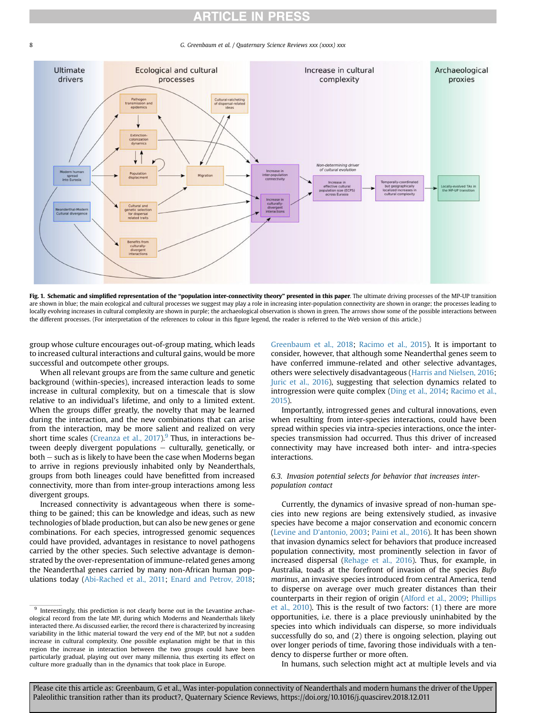#### <span id="page-7-0"></span>8 G. Greenbaum et al. / Quaternary Science Reviews xxx (xxxx) xxx



Fig. 1. Schematic and simplified representation of the "population inter-connectivity theory" presented in this paper. The ultimate driving processes of the MP-UP transition are shown in blue; the main ecological and cultural processes we suggest may play a role in increasing inter-population connectivity are shown in orange; the processes leading to locally evolving increases in cultural complexity are shown in purple; the archaeological observation is shown in green. The arrows show some of the possible interactions between the different processes. (For interpretation of the references to colour in this figure legend, the reader is referred to the Web version of this article.)

group whose culture encourages out-of-group mating, which leads to increased cultural interactions and cultural gains, would be more successful and outcompete other groups.

When all relevant groups are from the same culture and genetic background (within-species), increased interaction leads to some increase in cultural complexity, but on a timescale that is slow relative to an individual's lifetime, and only to a limited extent. When the groups differ greatly, the novelty that may be learned during the interaction, and the new combinations that can arise from the interaction, may be more salient and realized on very short time scales (Creanza et al.,  $2017$ ).<sup>9</sup> Thus, in interactions between deeply divergent populations  $-$  culturally, genetically, or  $both - such$  as is likely to have been the case when Moderns began to arrive in regions previously inhabited only by Neanderthals, groups from both lineages could have benefitted from increased connectivity, more than from inter-group interactions among less divergent groups.

Increased connectivity is advantageous when there is something to be gained; this can be knowledge and ideas, such as new technologies of blade production, but can also be new genes or gene combinations. For each species, introgressed genomic sequences could have provided, advantages in resistance to novel pathogens carried by the other species. Such selective advantage is demonstrated by the over-representation of immune-related genes among the Neanderthal genes carried by many non-African human populations today [\(Abi-Rached et al., 2011;](#page-10-0) [Enard and Petrov, 2018](#page-10-0); [Greenbaum et al., 2018](#page-11-0); [Racimo et al., 2015](#page-12-0)). It is important to consider, however, that although some Neanderthal genes seem to have conferred immune-related and other selective advantages, others were selectively disadvantageous [\(Harris and Nielsen, 2016](#page-11-0); [Juric et al., 2016](#page-11-0)), suggesting that selection dynamics related to introgression were quite complex [\(Ding et al., 2014;](#page-10-0) [Racimo et al.,](#page-12-0) [2015\)](#page-12-0).

Importantly, introgressed genes and cultural innovations, even when resulting from inter-species interactions, could have been spread within species via intra-species interactions, once the interspecies transmission had occurred. Thus this driver of increased connectivity may have increased both inter- and intra-species interactions.

6.3. Invasion potential selects for behavior that increases interpopulation contact

Currently, the dynamics of invasive spread of non-human species into new regions are being extensively studied, as invasive species have become a major conservation and economic concern ([Levine and D'antonio, 2003;](#page-11-0) [Paini et al., 2016](#page-12-0)). It has been shown that invasion dynamics select for behaviors that produce increased population connectivity, most prominently selection in favor of increased dispersal [\(Rehage et al., 2016\)](#page-12-0). Thus, for example, in Australia, toads at the forefront of invasion of the species Bufo marinus, an invasive species introduced from central America, tend to disperse on average over much greater distances than their counterparts in their region of origin [\(Alford et al., 2009](#page-10-0); [Phillips](#page-12-0) [et al., 2010](#page-12-0)). This is the result of two factors: (1) there are more opportunities, i.e. there is a place previously uninhabited by the species into which individuals can disperse, so more individuals successfully do so, and (2) there is ongoing selection, playing out over longer periods of time, favoring those individuals with a tendency to disperse further or more often.

In humans, such selection might act at multiple levels and via

<sup>&</sup>lt;sup>9</sup> Interestingly, this prediction is not clearly borne out in the Levantine archaeological record from the late MP, during which Moderns and Neanderthals likely interacted there. As discussed earlier, the record there is characterized by increasing variability in the lithic material toward the very end of the MP, but not a sudden increase in cultural complexity. One possible explanation might be that in this region the increase in interaction between the two groups could have been particularly gradual, playing out over many millennia, thus exerting its effect on culture more gradually than in the dynamics that took place in Europe.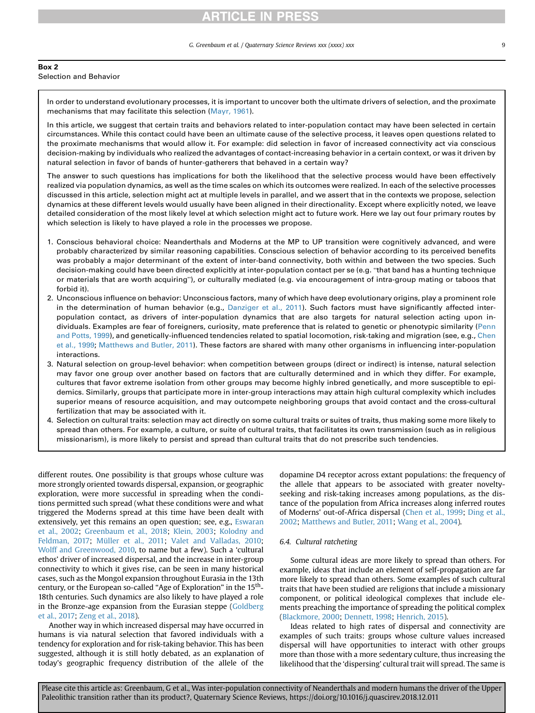#### G. Greenbaum et al. / Quaternary Science Reviews xxx (xxxx) xxx

### Box 2 Selection and Behavior

In order to understand evolutionary processes, it is important to uncover both the ultimate drivers of selection, and the proximate mechanisms that may facilitate this selection [\(Mayr, 1961\)](#page-12-0).

In this article, we suggest that certain traits and behaviors related to inter-population contact may have been selected in certain circumstances. While this contact could have been an ultimate cause of the selective process, it leaves open questions related to the proximate mechanisms that would allow it. For example: did selection in favor of increased connectivity act via conscious decision-making by individuals who realized the advantages of contact-increasing behavior in a certain context, or was it driven by natural selection in favor of bands of hunter-gatherers that behaved in a certain way?

The answer to such questions has implications for both the likelihood that the selective process would have been effectively realized via population dynamics, as well as the time scales on which its outcomes were realized. In each of the selective processes discussed in this article, selection might act at multiple levels in parallel, and we assert that in the contexts we propose, selection dynamics at these different levels would usually have been aligned in their directionality. Except where explicitly noted, we leave detailed consideration of the most likely level at which selection might act to future work. Here we lay out four primary routes by which selection is likely to have played a role in the processes we propose.

- 1. Conscious behavioral choice: Neanderthals and Moderns at the MP to UP transition were cognitively advanced, and were probably characterized by similar reasoning capabilities. Conscious selection of behavior according to its perceived benefits probably characterized by similar reasoning capabilities. Conscious selection or behavior according to its perceived behents<br>was probably a major determinant of the extent of inter-band connectivity, both within and betwee decision-making could have been directed explicitly at inter-population contact per se (e.g. "that band has a hunting technique<br>or materials that are worth acquiring"), or culturally mediated (e.g. via encouragement of int forbid it).
- 2. Unconscious influence on behavior: Unconscious factors, many of which have deep evolutionary origins, play a prominent role in the determination of human behavior (e.g., [Danziger et al., 2011](#page-10-0)). Such factors must have significantly affected interpopulation contact, as drivers of inter-population dynamics that are also targets for natural selection acting upon individuals. Examples are fear of foreigners, curiosity, mate preference that is related to genetic or phenotypic similarity [\(Penn](#page-12-0) [and Potts, 1999](#page-12-0)), and genetically-influenced tendencies related to spatial locomotion, risk-taking and migration (see, e.g., [Chen](#page-10-0) [et al., 1999](#page-10-0); [Matthews and Butler, 2011\)](#page-11-0). These factors are shared with many other organisms in influencing inter-population interactions.
- 3. Natural selection on group-level behavior: when competition between groups (direct or indirect) is intense, natural selection may favor one group over another based on factors that are culturally determined and in which they differ. For example, cultures that favor extreme isolation from other groups may become highly inbred genetically, and more susceptible to epidemics. Similarly, groups that participate more in inter-group interactions may attain high cultural complexity which includes superior means of resource acquisition, and may outcompete neighboring groups that avoid contact and the cross-cultural fertilization that may be associated with it.
- 4. Selection on cultural traits: selection may act directly on some cultural traits or suites of traits, thus making some more likely to spread than others. For example, a culture, or suite of cultural traits, that facilitates its own transmission (such as in religious missionarism), is more likely to persist and spread than cultural traits that do not prescribe such tendencies.

different routes. One possibility is that groups whose culture was more strongly oriented towards dispersal, expansion, or geographic exploration, were more successful in spreading when the conditions permitted such spread (what these conditions were and what triggered the Moderns spread at this time have been dealt with extensively, yet this remains an open question; see, e.g., [Eswaran](#page-10-0) [et al., 2002](#page-10-0); [Greenbaum et al., 2018](#page-11-0); [Klein, 2003;](#page-11-0) [Kolodny and](#page-11-0) [Feldman, 2017;](#page-11-0) [Müller et al., 2011](#page-12-0); [Valet and Valladas, 2010;](#page-13-0) [Wolff and Greenwood, 2010](#page-13-0), to name but a few). Such a 'cultural ethos' driver of increased dispersal, and the increase in inter-group connectivity to which it gives rise, can be seen in many historical cases, such as the Mongol expansion throughout Eurasia in the 13th century, or the European so-called "Age of Exploration" in the 15<sup>th</sup>-18th centuries. Such dynamics are also likely to have played a role in the Bronze-age expansion from the Eurasian steppe ([Goldberg](#page-11-0) [et al., 2017](#page-11-0); [Zeng et al., 2018](#page-13-0)).

Another way in which increased dispersal may have occurred in humans is via natural selection that favored individuals with a tendency for exploration and for risk-taking behavior. This has been suggested, although it is still hotly debated, as an explanation of today's geographic frequency distribution of the allele of the

dopamine D4 receptor across extant populations: the frequency of the allele that appears to be associated with greater noveltyseeking and risk-taking increases among populations, as the distance of the population from Africa increases along inferred routes of Moderns' out-of-Africa dispersal ([Chen et al., 1999](#page-10-0); [Ding et al.,](#page-10-0) [2002;](#page-10-0) [Matthews and Butler, 2011;](#page-11-0) [Wang et al., 2004](#page-13-0)).

### 6.4. Cultural ratcheting

Some cultural ideas are more likely to spread than others. For example, ideas that include an element of self-propagation are far more likely to spread than others. Some examples of such cultural traits that have been studied are religions that include a missionary component, or political ideological complexes that include elements preaching the importance of spreading the political complex ([Blackmore, 2000](#page-10-0); [Dennett, 1998](#page-10-0); [Henrich, 2015](#page-11-0)).

Ideas related to high rates of dispersal and connectivity are examples of such traits: groups whose culture values increased dispersal will have opportunities to interact with other groups more than those with a more sedentary culture, thus increasing the likelihood that the 'dispersing' cultural trait will spread. The same is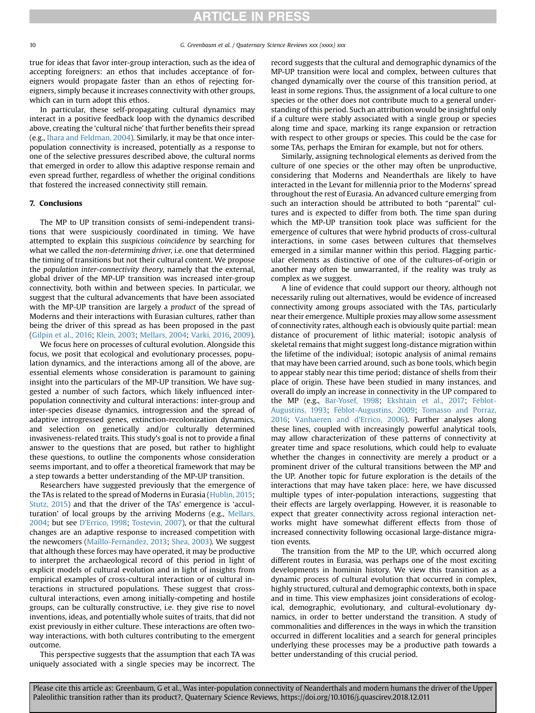<span id="page-9-0"></span>

true for ideas that favor inter-group interaction, such as the idea of accepting foreigners: an ethos that includes acceptance of foreigners would propagate faster than an ethos of rejecting foreigners, simply because it increases connectivity with other groups, which can in turn adopt this ethos.

In particular, these self-propagating cultural dynamics may interact in a positive feedback loop with the dynamics described above, creating the 'cultural niche' that further benefits their spread (e.g., [Ihara and Feldman, 2004](#page-11-0)). Similarly, it may be that once interpopulation connectivity is increased, potentially as a response to one of the selective pressures described above, the cultural norms that emerged in order to allow this adaptive response remain and even spread further, regardless of whether the original conditions that fostered the increased connectivity still remain.

#### 7. Conclusions

The MP to UP transition consists of semi-independent transitions that were suspiciously coordinated in timing. We have attempted to explain this suspicious coincidence by searching for what we called the non-determining driver, i.e. one that determined the timing of transitions but not their cultural content. We propose the population inter-connectivity theory, namely that the external, global driver of the MP-UP transition was increased inter-group connectivity, both within and between species. In particular, we suggest that the cultural advancements that have been associated with the MP-UP transition are largely a product of the spread of Moderns and their interactions with Eurasian cultures, rather than being the driver of this spread as has been proposed in the past ([Gilpin et al., 2016](#page-10-0); [Klein, 2003;](#page-11-0) [Mellars, 2004;](#page-12-0) [Varki, 2016](#page-13-0), [2009\)](#page-13-0).

We focus here on processes of cultural evolution. Alongside this focus, we posit that ecological and evolutionary processes, population dynamics, and the interactions among all of the above, are essential elements whose consideration is paramount to gaining insight into the particulars of the MP-UP transition. We have suggested a number of such factors, which likely influenced interpopulation connectivity and cultural interactions: inter-group and inter-species disease dynamics, introgression and the spread of adaptive introgressed genes, extinction-recolonization dynamics, and selection on genetically and/or culturally determined invasiveness-related traits. This study's goal is not to provide a final answer to the questions that are posed, but rather to highlight these questions, to outline the components whose consideration seems important, and to offer a theoretical framework that may be a step towards a better understanding of the MP-UP transition.

Researchers have suggested previously that the emergence of the TAs is related to the spread of Moderns in Eurasia ([Hublin, 2015](#page-11-0); [Stutz, 2015](#page-12-0)) and that the driver of the TAs' emergence is 'acculturation' of local groups by the arriving Moderns (e.g., [Mellars,](#page-12-0) [2004](#page-12-0); but see [D'Errico, 1998](#page-10-0); [Tostevin, 2007\)](#page-12-0), or that the cultural changes are an adaptive response to increased competition with the newcomers (Maíllo-Fernández, 2013; [Shea, 2003\)](#page-12-0). We suggest that although these forces may have operated, it may be productive to interpret the archaeological record of this period in light of explicit models of cultural evolution and in light of insights from empirical examples of cross-cultural interaction or of cultural interactions in structured populations. These suggest that crosscultural interactions, even among initially-competing and hostile groups, can be culturally constructive, i.e. they give rise to novel inventions, ideas, and potentially whole suites of traits, that did not exist previously in either culture. These interactions are often twoway interactions, with both cultures contributing to the emergent outcome.

This perspective suggests that the assumption that each TA was uniquely associated with a single species may be incorrect. The record suggests that the cultural and demographic dynamics of the MP-UP transition were local and complex, between cultures that changed dynamically over the course of this transition period, at least in some regions. Thus, the assignment of a local culture to one species or the other does not contribute much to a general understanding of this period. Such an attribution would be insightful only if a culture were stably associated with a single group or species along time and space, marking its range expansion or retraction with respect to other groups or species. This could be the case for some TAs, perhaps the Emiran for example, but not for others.

Similarly, assigning technological elements as derived from the culture of one species or the other may often be unproductive, considering that Moderns and Neanderthals are likely to have interacted in the Levant for millennia prior to the Moderns' spread throughout the rest of Eurasia. An advanced culture emerging from such an interaction should be attributed to both "parental" cultures and is expected to differ from both. The time span during which the MP-UP transition took place was sufficient for the emergence of cultures that were hybrid products of cross-cultural interactions, in some cases between cultures that themselves emerged in a similar manner within this period. Flagging particular elements as distinctive of one of the cultures-of-origin or another may often be unwarranted, if the reality was truly as complex as we suggest.

A line of evidence that could support our theory, although not necessarily ruling out alternatives, would be evidence of increased connectivity among groups associated with the TAs, particularly near their emergence. Multiple proxies may allow some assessment of connectivity rates, although each is obviously quite partial: mean distance of procurement of lithic material; isotopic analysis of skeletal remains that might suggest long-distance migration within the lifetime of the individual; isotopic analysis of animal remains that may have been carried around, such as bone tools, which begin to appear stably near this time period; distance of shells from their place of origin. These have been studied in many instances, and overall do imply an increase in connectivity in the UP compared to the MP (e.g., [Bar-Yosef, 1998](#page-10-0); [Ekshtain et al., 2017](#page-10-0); [F](#page-10-0)e[blot-](#page-10-0) [Augustins, 1993;](#page-10-0) Féblot-Augustins, 2009; [Tomasso and Porraz,](#page-12-0) [2016;](#page-12-0) [Vanhaeren and d](#page-13-0)'Errico, 2006). Further analyses along these lines, coupled with increasingly powerful analytical tools, may allow characterization of these patterns of connectivity at greater time and space resolutions, which could help to evaluate whether the changes in connectivity are merely a product or a prominent driver of the cultural transitions between the MP and the UP. Another topic for future exploration is the details of the interactions that may have taken place: here, we have discussed multiple types of inter-population interactions, suggesting that their effects are largely overlapping. However, it is reasonable to expect that greater connectivity across regional interaction networks might have somewhat different effects from those of increased connectivity following occasional large-distance migration events.

The transition from the MP to the UP, which occurred along different routes in Eurasia, was perhaps one of the most exciting developments in hominin history. We view this transition as a dynamic process of cultural evolution that occurred in complex, highly structured, cultural and demographic contexts, both in space and in time. This view emphasizes joint considerations of ecological, demographic, evolutionary, and cultural-evolutionary dynamics, in order to better understand the transition. A study of commonalities and differences in the ways in which the transition occurred in different localities and a search for general principles underlying these processes may be a productive path towards a better understanding of this crucial period.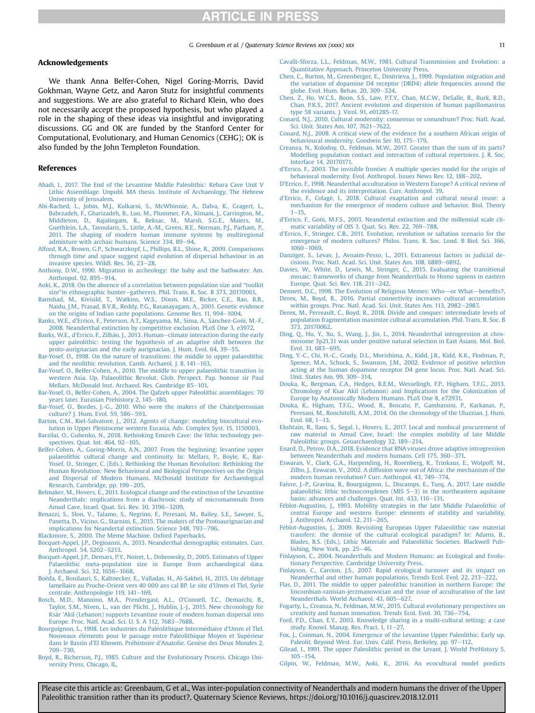#### <span id="page-10-0"></span>Acknowledgements

We thank Anna Belfer-Cohen, Nigel Goring-Morris, David Gokhman, Wayne Getz, and Aaron Stutz for insightful comments and suggestions. We are also grateful to Richard Klein, who does not necessarily accept the proposed hypothesis, but who played a role in the shaping of these ideas via insightful and invigorating discussions. GG and OK are funded by the Stanford Center for Computational, Evolutionary, and Human Genomics (CEHG); OK is also funded by the John Templeton Foundation.

#### References

- [Abadi, I., 2017. The End of the Levantine Middle Paleolithic: Kebara Cave Unit V](http://refhub.elsevier.com/S0277-3791(18)30645-0/sref1) [Lithic Assemblage. Unpubl. MA thesis. Institute of Archaeology, The Hebrew](http://refhub.elsevier.com/S0277-3791(18)30645-0/sref1) [University of Jerusalem](http://refhub.elsevier.com/S0277-3791(18)30645-0/sref1).
- [Abi-Rached, L., Jobin, M.J., Kulkarni, S., McWhinnie, A., Dalva, K., Gragert, L.,](http://refhub.elsevier.com/S0277-3791(18)30645-0/sref2) [Babrzadeh, F., Gharizadeh, B., Luo, M., Plummer, F.A., Kimani, J., Carrington, M.,](http://refhub.elsevier.com/S0277-3791(18)30645-0/sref2) [Middleton, D., Rajalingam, R., Beksac, M., Marsh, S.G.E., Maiers, M.,](http://refhub.elsevier.com/S0277-3791(18)30645-0/sref2) [Guethlein, L.A., Tavoularis, S., Little, A.-M., Green, R.E., Norman, P.J., Parham, P.,](http://refhub.elsevier.com/S0277-3791(18)30645-0/sref2) [2011. The shaping of modern human immune systems by multiregional](http://refhub.elsevier.com/S0277-3791(18)30645-0/sref2) [admixture with archaic humans. Science 334, 89](http://refhub.elsevier.com/S0277-3791(18)30645-0/sref2)-[94.](http://refhub.elsevier.com/S0277-3791(18)30645-0/sref2)
- [Alford, R.A., Brown, G.P., Schwarzkopf, L., Phillips, B.L., Shine, R., 2009. Comparisons](http://refhub.elsevier.com/S0277-3791(18)30645-0/sref3) [through time and space suggest rapid evolution of dispersal behaviour in an](http://refhub.elsevier.com/S0277-3791(18)30645-0/sref3) [invasive species. Wildl. Res. 36, 23](http://refhub.elsevier.com/S0277-3791(18)30645-0/sref3)-[28](http://refhub.elsevier.com/S0277-3791(18)30645-0/sref3).
- [Anthony, D.W., 1990. Migration in archeology: the baby and the bathwater. Am.](http://refhub.elsevier.com/S0277-3791(18)30645-0/sref4) [Anthropol. 92, 895](http://refhub.elsevier.com/S0277-3791(18)30645-0/sref4)-[914](http://refhub.elsevier.com/S0277-3791(18)30645-0/sref4).
- [Aoki, K., 2018. On the absence of a correlation between population size and](http://refhub.elsevier.com/S0277-3791(18)30645-0/sref5) "toolkit size"[in ethnographic hunter](http://refhub.elsevier.com/S0277-3791(18)30645-0/sref5)-[gatherers. Phil. Trans. R. Soc. B 373, 20170061.](http://refhub.elsevier.com/S0277-3791(18)30645-0/sref5)
- [Bamshad, M., Kivisild, T., Watkins, W.S., Dixon, M.E., Ricker, C.E., Rao, B.B.,](http://refhub.elsevier.com/S0277-3791(18)30645-0/sref6) [Naidu, J.M., Prasad, B.V.R., Reddy, P.G., Rasanayagam, A., 2001. Genetic evidence](http://refhub.elsevier.com/S0277-3791(18)30645-0/sref6) [on the origins of Indian caste populations. Genome Res. 11, 994](http://refhub.elsevier.com/S0277-3791(18)30645-0/sref6)-[1004](http://refhub.elsevier.com/S0277-3791(18)30645-0/sref6).
- Banks, W.E., d'Errico, F., Peterson, A.T., Kageyama, M., Sima, A., Sánchez-Goñi, M.-F. [2008. Neanderthal extinction by competitive exclusion. PLoS One 3, e3972](http://refhub.elsevier.com/S0277-3791(18)30645-0/sref7).
- Banks, W.E., d'Errico, F., Zilhão, J., 2013. Human-[climate interaction during the early](http://refhub.elsevier.com/S0277-3791(18)30645-0/sref8) [upper paleolithic: testing the hypothesis of an adaptive shift between the](http://refhub.elsevier.com/S0277-3791(18)30645-0/sref8) [proto-aurignacian and the early aurignacian. J. Hum. Evol. 64, 39](http://refhub.elsevier.com/S0277-3791(18)30645-0/sref8)-[55](http://refhub.elsevier.com/S0277-3791(18)30645-0/sref8).
- [Bar-Yosef, O., 1998. On the nature of transitions: the middle to upper palaeolithic](http://refhub.elsevier.com/S0277-3791(18)30645-0/sref9) and the neolithic revolution. Camb. Archaeol. J. 8,  $141-163$ .
- [Bar-Yosef, O., Belfer-Cohen, A., 2010. The middle to upper palaeolithic transition in](http://refhub.elsevier.com/S0277-3791(18)30645-0/sref10) [western Asia. Up. Palaeolithic Revolut. Glob. Perspect. Pap. honour sir Paul](http://refhub.elsevier.com/S0277-3791(18)30645-0/sref10) [Mellars. McDonald Inst. Archaeol. Res. Cambridge 85](http://refhub.elsevier.com/S0277-3791(18)30645-0/sref10)-[101.](http://refhub.elsevier.com/S0277-3791(18)30645-0/sref10)
- [Bar-Yosef, O., Belfer-Cohen, A., 2004. The Qafzeh upper Paleolithic assemblages: 70](http://refhub.elsevier.com/S0277-3791(18)30645-0/sref11) [years later. Eurasian Prehistory 2, 145](http://refhub.elsevier.com/S0277-3791(18)30645-0/sref11)-[180.](http://refhub.elsevier.com/S0277-3791(18)30645-0/sref11)
- [Bar-Yosef, O., Bordes, J.-G., 2010. Who were the makers of the Ch](http://refhub.elsevier.com/S0277-3791(18)30645-0/sref12)âtelperronian [culture? J. Hum. Evol. 59, 586](http://refhub.elsevier.com/S0277-3791(18)30645-0/sref12)-[593.](http://refhub.elsevier.com/S0277-3791(18)30645-0/sref12)
- [Barton, C.M., Riel-Salvatore, J., 2012. Agents of change: modeling biocultural evo](http://refhub.elsevier.com/S0277-3791(18)30645-0/sref13)[lution in Upper Pleistocene western Eurasia. Adv. Complex Syst. 15, 1150003.](http://refhub.elsevier.com/S0277-3791(18)30645-0/sref13)
- [Barzilai, O., Gubenko, N., 2018. Rethinking Emireh Cave: the lithic technology per](http://refhub.elsevier.com/S0277-3791(18)30645-0/sref14)spectives. Quat. Int.  $464.92-105$  $464.92-105$ .
- [Belfer-Cohen, A., Goring-Morris, A.N., 2007. From the beginning: levantine upper](http://refhub.elsevier.com/S0277-3791(18)30645-0/sref15) [palaeolithic cultural change and continuity. In: Mellars, P., Boyle, K., Bar-](http://refhub.elsevier.com/S0277-3791(18)30645-0/sref15)[Yosef, O., Stringer, C. \(Eds.\), Rethinking the Human Revolution: Rethinking the](http://refhub.elsevier.com/S0277-3791(18)30645-0/sref15) [Human Revolution: New Behavioural and Biological Perspectives on the Origin](http://refhub.elsevier.com/S0277-3791(18)30645-0/sref15) [and Dispersal of Modern Humans. McDonald Institute for Archaeological](http://refhub.elsevier.com/S0277-3791(18)30645-0/sref15) [Research, Cambridge, pp. 199](http://refhub.elsevier.com/S0277-3791(18)30645-0/sref15)-[205.](http://refhub.elsevier.com/S0277-3791(18)30645-0/sref15)
- [Belmaker, M., Hovers, E., 2011. Ecological change and the extinction of the Levantine](http://refhub.elsevier.com/S0277-3791(18)30645-0/sref16) [Neanderthals: implications from a diachronic study of micromammals from](http://refhub.elsevier.com/S0277-3791(18)30645-0/sref16)<br>[Amud Cave, Israel. Quat. Sci. Rev. 30, 3196](http://refhub.elsevier.com/S0277-3791(18)30645-0/sref16)–[3209.](http://refhub.elsevier.com/S0277-3791(18)30645-0/sref16)
- [Benazzi, S., Slon, V., Talamo, S., Negrino, F., Peresani, M., Bailey, S.E., Sawyer, S.,](http://refhub.elsevier.com/S0277-3791(18)30645-0/sref17) [Panetta, D., Vicino, G., Starnini, E., 2015. The makers of the Protoaurignacian and](http://refhub.elsevier.com/S0277-3791(18)30645-0/sref17) [implications for Neandertal extinction. Science 348, 793](http://refhub.elsevier.com/S0277-3791(18)30645-0/sref17)-[796](http://refhub.elsevier.com/S0277-3791(18)30645-0/sref17).
- [Blackmore, S., 2000. The Meme Machine. Oxford Paperbacks](http://refhub.elsevier.com/S0277-3791(18)30645-0/sref18).
- [Bocquet-Appel, J.P., Degioanni, A., 2013. Neanderthal demographic estimates. Curr.](http://refhub.elsevier.com/S0277-3791(18)30645-0/sref19) [Anthropol. 54, S202](http://refhub.elsevier.com/S0277-3791(18)30645-0/sref19)-[S213](http://refhub.elsevier.com/S0277-3791(18)30645-0/sref19).
- [Bocquet-Appel, J.P., Demars, P.Y., Noiret, L., Dobrowsky, D., 2005. Estimates of Upper](http://refhub.elsevier.com/S0277-3791(18)30645-0/sref20) [Palaeolithic meta-population size in Europe from archaeological data.](http://refhub.elsevier.com/S0277-3791(18)30645-0/sref20) [J. Archaeol. Sci. 32, 1656](http://refhub.elsevier.com/S0277-3791(18)30645-0/sref20)-[1668](http://refhub.elsevier.com/S0277-3791(18)30645-0/sref20).
- [Bo](http://refhub.elsevier.com/S0277-3791(18)30645-0/sref21)ë[da,](http://refhub.elsevier.com/S0277-3791(18)30645-0/sref21) É., Bonilauri, S., Kaltnecker, E., Valladas, H., Al-Sakhel, H., 2015. Un débitage [lamellaire au Proche-Orient vers 40 000 ans cal BP. Le site d'Umm el Tlel, Syrie](http://refhub.elsevier.com/S0277-3791(18)30645-0/sref21) [centrale. Anthropologie 119, 141](http://refhub.elsevier.com/S0277-3791(18)30645-0/sref21)-[169.](http://refhub.elsevier.com/S0277-3791(18)30645-0/sref21)
- [Bosch, M.D., Mannino, M.A., Prendergast, A.L., O'Connell, T.C., Demarchi, B.,](http://refhub.elsevier.com/S0277-3791(18)30645-0/sref22) [Taylor, S.M., Niven, L., van der Plicht, J., Hublin, J.-J., 2015. New chronology for](http://refhub.elsevier.com/S0277-3791(18)30645-0/sref22) [Ks](http://refhub.elsevier.com/S0277-3791(18)30645-0/sref22)âr '[Akil \(Lebanon\) supports Levantine route of modern human dispersal into](http://refhub.elsevier.com/S0277-3791(18)30645-0/sref22) [Europe. Proc. Natl. Acad. Sci. U. S. A 112, 7683](http://refhub.elsevier.com/S0277-3791(18)30645-0/sref22)-[7688](http://refhub.elsevier.com/S0277-3791(18)30645-0/sref22).
- Bourguignon, L., 1998. Les industries du Paléolithique Intermédiaire d'Umm el Tlel. [Nouveaux](http://refhub.elsevier.com/S0277-3791(18)30645-0/sref23) élé[ments pour le passage entre Pal](http://refhub.elsevier.com/S0277-3791(18)30645-0/sref23)é[olithique Moyen et Sup](http://refhub.elsevier.com/S0277-3791(18)30645-0/sref23)é[rieur](http://refhub.elsevier.com/S0277-3791(18)30645-0/sref23) [dans le Bassin d](http://refhub.elsevier.com/S0277-3791(18)30645-0/sref23)'El Khowm. Préhistoire d'[Anatolie. Gen](http://refhub.elsevier.com/S0277-3791(18)30645-0/sref23)è[se des Deux Mondes 2,](http://refhub.elsevier.com/S0277-3791(18)30645-0/sref23) [709](http://refhub.elsevier.com/S0277-3791(18)30645-0/sref23)-730
- [Boyd, R., Richerson, P.J., 1985. Culture and the Evolutionary Process. Chicago Uni](http://refhub.elsevier.com/S0277-3791(18)30645-0/sref24)[versity Press, Chicago, IL](http://refhub.elsevier.com/S0277-3791(18)30645-0/sref24).
- [Cavalli-Sforza, L.L., Feldman, M.W., 1981. Cultural Transmission and Evolution: a](http://refhub.elsevier.com/S0277-3791(18)30645-0/sref25) [Quantitative Approach. Princeton University Press.](http://refhub.elsevier.com/S0277-3791(18)30645-0/sref25)
- [Chen, C., Burton, M., Greenberger, E., Dmitrieva, J., 1999. Population migration and](http://refhub.elsevier.com/S0277-3791(18)30645-0/sref26) [the variation of dopamine D4 receptor \(DRD4\) allele frequencies around the](http://refhub.elsevier.com/S0277-3791(18)30645-0/sref26) globe. Evol. Hum. Behav.  $20, 309-324$ .
- [Chen, Z., Ho, W.C.S., Boon, S.S., Law, P.T.Y., Chan, M.C.W., DeSalle, R., Burk, R.D.,](http://refhub.elsevier.com/S0277-3791(18)30645-0/sref27) [Chan, P.K.S., 2017. Ancient evolution and dispersion of human papillomavirus](http://refhub.elsevier.com/S0277-3791(18)30645-0/sref27) [type 58 variants. J. Virol. 91, e01285-17.](http://refhub.elsevier.com/S0277-3791(18)30645-0/sref27)
- [Conard, N.J., 2010. Cultural modernity: consensus or conundrum? Proc. Natl. Acad.](http://refhub.elsevier.com/S0277-3791(18)30645-0/sref28) [Sci. Unit. States Am. 107, 7621](http://refhub.elsevier.com/S0277-3791(18)30645-0/sref28)-[7622.](http://refhub.elsevier.com/S0277-3791(18)30645-0/sref28)
- [Conard, N.J., 2008. A critical view of the evidence for a southern African origin of](http://refhub.elsevier.com/S0277-3791(18)30645-0/sref29) [behavioural modernity. Goodwin Ser 10, 175](http://refhub.elsevier.com/S0277-3791(18)30645-0/sref29)-[179.](http://refhub.elsevier.com/S0277-3791(18)30645-0/sref29)
- [Creanza, N., Kolodny, O., Feldman, M.W., 2017. Greater than the sum of its parts?](http://refhub.elsevier.com/S0277-3791(18)30645-0/sref30) [Modelling population contact and interaction of cultural repertoires. J. R. Soc.](http://refhub.elsevier.com/S0277-3791(18)30645-0/sref30) [Interface 14, 20170171.](http://refhub.elsevier.com/S0277-3791(18)30645-0/sref30)
- [d'Errico, F., 2003. The invisible frontier. A multiple species model for the origin of](http://refhub.elsevier.com/S0277-3791(18)30645-0/sref31) [behavioral modernity. Evol. Anthropol. Issues News Rev. 12, 188](http://refhub.elsevier.com/S0277-3791(18)30645-0/sref31)-[202.](http://refhub.elsevier.com/S0277-3791(18)30645-0/sref31)
- [D'Errico, F., 1998. Neanderthal acculturation in Western Europe? A critical review of](http://refhub.elsevier.com/S0277-3791(18)30645-0/sref32) [the evidence and its interpretation. Curr. Anthropol. 39](http://refhub.elsevier.com/S0277-3791(18)30645-0/sref32).
- [d'Errico, F., Colag](http://refhub.elsevier.com/S0277-3791(18)30645-0/sref33)e[, I., 2018. Cultural exaptation and cultural neural reuse: a](http://refhub.elsevier.com/S0277-3791(18)30645-0/sref33) [mechanism for the emergence of modern culture and behavior. Biol. Theory](http://refhub.elsevier.com/S0277-3791(18)30645-0/sref33)  $1 - 15$  $1 - 15$
- [d'Errico, F., Goni, M.F.S., 2003. Neandertal extinction and the millennial scale cli-](http://refhub.elsevier.com/S0277-3791(18)30645-0/sref34) ~ [matic variability of OIS 3. Quat. Sci. Rev. 22, 769](http://refhub.elsevier.com/S0277-3791(18)30645-0/sref34)-[788.](http://refhub.elsevier.com/S0277-3791(18)30645-0/sref34)
- [d'Errico, F., Stringer, C.B., 2011. Evolution, revolution or saltation scenario for the](http://refhub.elsevier.com/S0277-3791(18)30645-0/sref35) [emergence of modern cultures? Philos. Trans. R. Soc. Lond. B Biol. Sci. 366,](http://refhub.elsevier.com/S0277-3791(18)30645-0/sref35) [1060](http://refhub.elsevier.com/S0277-3791(18)30645-0/sref35)-1069
- [Danziger, S., Levav, J., Avnaim-Pesso, L., 2011. Extraneous factors in judicial de](http://refhub.elsevier.com/S0277-3791(18)30645-0/sref36)[cisions. Proc. Natl. Acad. Sci. Unit. States Am. 108, 6889](http://refhub.elsevier.com/S0277-3791(18)30645-0/sref36)-[6892.](http://refhub.elsevier.com/S0277-3791(18)30645-0/sref36)
- [Davies, W., White, D., Lewis, M., Stringer, C., 2015. Evaluating the transitional](http://refhub.elsevier.com/S0277-3791(18)30645-0/sref37) [mosaic: frameworks of change from Neanderthals to Homo sapiens in eastern](http://refhub.elsevier.com/S0277-3791(18)30645-0/sref37) [Europe. Quat. Sci. Rev. 118, 211](http://refhub.elsevier.com/S0277-3791(18)30645-0/sref37)-[242](http://refhub.elsevier.com/S0277-3791(18)30645-0/sref37).
- [Dennett, D.C., 1998. The Evolution of Religious Memes: Who](http://refhub.elsevier.com/S0277-3791(18)30645-0/sref38)-[or What](http://refhub.elsevier.com/S0277-3791(18)30645-0/sref38)-[bene](http://refhub.elsevier.com/S0277-3791(18)30645-0/sref38)fits?. [Derex, M., Boyd, R., 2016. Partial connectivity increases cultural accumulation](http://refhub.elsevier.com/S0277-3791(18)30645-0/sref39) [within groups. Proc. Natl. Acad. Sci. Unit. States Am. 113, 2982](http://refhub.elsevier.com/S0277-3791(18)30645-0/sref39)-[2987.](http://refhub.elsevier.com/S0277-3791(18)30645-0/sref39)
- [Derex, M., Perreault, C., Boyd, R., 2018. Divide and conquer: intermediate levels of](http://refhub.elsevier.com/S0277-3791(18)30645-0/sref40) [population fragmentation maximize cultural accumulation. Phil. Trans. R. Soc. B](http://refhub.elsevier.com/S0277-3791(18)30645-0/sref40) [373, 20170062.](http://refhub.elsevier.com/S0277-3791(18)30645-0/sref40)
- [Ding, Q., Hu, Y., Xu, S., Wang, J., Jin, L., 2014. Neanderthal introgression at chro](http://refhub.elsevier.com/S0277-3791(18)30645-0/sref41)[mosome 3p21.31 was under positive natural selection in East Asians. Mol. Biol.](http://refhub.elsevier.com/S0277-3791(18)30645-0/sref41) [Evol. 31, 683](http://refhub.elsevier.com/S0277-3791(18)30645-0/sref41)-[695](http://refhub.elsevier.com/S0277-3791(18)30645-0/sref41).
- [Ding, Y.-C., Chi, H.-C., Grady, D.L., Morishima, A., Kidd, J.R., Kidd, K.K., Flodman, P.,](http://refhub.elsevier.com/S0277-3791(18)30645-0/sref42) [Spence, M.A., Schuck, S., Swanson, J.M., 2002. Evidence of positive selection](http://refhub.elsevier.com/S0277-3791(18)30645-0/sref42) [acting at the human dopamine receptor D4 gene locus. Proc. Natl. Acad. Sci.](http://refhub.elsevier.com/S0277-3791(18)30645-0/sref42) [Unit. States Am. 99, 309](http://refhub.elsevier.com/S0277-3791(18)30645-0/sref42)-[314.](http://refhub.elsevier.com/S0277-3791(18)30645-0/sref42)
- [Douka, K., Bergman, C.A., Hedges, R.E.M., Wesselingh, F.P., Higham, T.F.G., 2013.](http://refhub.elsevier.com/S0277-3791(18)30645-0/sref43) [Chronology of Ksar Akil \(Lebanon\) and Implications for the Colonization of](http://refhub.elsevier.com/S0277-3791(18)30645-0/sref43) [Europe by Anatomically Modern Humans. PLoS One 8, e72931.](http://refhub.elsevier.com/S0277-3791(18)30645-0/sref43)
- [Douka, K., Higham, T.F.G., Wood, R., Boscato, P., Gambassini, P., Karkanas, P.,](http://refhub.elsevier.com/S0277-3791(18)30645-0/sref44) [Peresani, M., Ronchitelli, A.M., 2014. On the chronology of the Uluzzian. J. Hum.](http://refhub.elsevier.com/S0277-3791(18)30645-0/sref44) Evol.  $68, 1-13.$  $68, 1-13.$  $68, 1-13.$
- [Ekshtain, R., Ilani, S., Segal, I., Hovers, E., 2017. Local and nonlocal procurement of](http://refhub.elsevier.com/S0277-3791(18)30645-0/sref45) [raw material in Amud Cave, Israel: the complex mobility of late Middle](http://refhub.elsevier.com/S0277-3791(18)30645-0/sref45) [Paleolithic groups. Geoarchaeology 32, 189](http://refhub.elsevier.com/S0277-3791(18)30645-0/sref45)-[214.](http://refhub.elsevier.com/S0277-3791(18)30645-0/sref45)
- [Enard, D., Petrov, D.A., 2018. Evidence that RNA viruses drove adaptive introgression](http://refhub.elsevier.com/S0277-3791(18)30645-0/sref46) [between Neanderthals and modern humans. Cell 175, 360](http://refhub.elsevier.com/S0277-3791(18)30645-0/sref46)-[371.](http://refhub.elsevier.com/S0277-3791(18)30645-0/sref46)
- [Eswaran, V., Clark, G.A., Harpending, H., Rosenberg, K., Trinkaus, E., Wolpoff, M.,](http://refhub.elsevier.com/S0277-3791(18)30645-0/sref47) [Zilho, J., Eswaran, V., 2002. A diffusion wave out of Africa: the mechanism of the](http://refhub.elsevier.com/S0277-3791(18)30645-0/sref47) [modern human revolution? Curr. Anthropol. 43, 749](http://refhub.elsevier.com/S0277-3791(18)30645-0/sref47)-[774](http://refhub.elsevier.com/S0277-3791(18)30645-0/sref47).
- [Faivre, J.-P., Gravina, B., Bourguignon, L., Discamps, E., Turq, A., 2017. Late middle](http://refhub.elsevier.com/S0277-3791(18)30645-0/sref48) palaeolithic lithic technocomplexes (MIS  $5-3$ ) in the northeastern aquitaine [basin: advances and challenges. Quat. Int. 433, 116](http://refhub.elsevier.com/S0277-3791(18)30645-0/sref48)-[131.](http://refhub.elsevier.com/S0277-3791(18)30645-0/sref48)
- Féblot-Augustins, J., 1993. Mobility strategies in the late Middle Palaeolithic of [central Europe and western Europe: elements of stability and variability.](http://refhub.elsevier.com/S0277-3791(18)30645-0/sref49) J. Anthropol. Archaeol. 12,  $211-265$  $211-265$ .
- [Feblot-Augustins, J., 2009. Revisiting European Upper Palaeolithic raw material](http://refhub.elsevier.com/S0277-3791(18)30645-0/sref50) [transfers: the demise of the cultural ecological paradigm? In: Adams, B.,](http://refhub.elsevier.com/S0277-3791(18)30645-0/sref50) [Blades, B.S. \(Eds.\), Lithic Materials and Palaeolithic Societies. Blackwell Pub](http://refhub.elsevier.com/S0277-3791(18)30645-0/sref50)[lishing, New York, pp. 25](http://refhub.elsevier.com/S0277-3791(18)30645-0/sref50)-[46.](http://refhub.elsevier.com/S0277-3791(18)30645-0/sref50)
- [Finlayson, C., 2004. Neanderthals and Modern Humans: an Ecological and Evolu](http://refhub.elsevier.com/S0277-3791(18)30645-0/sref51)[tionary Perspective. Cambridge University Press](http://refhub.elsevier.com/S0277-3791(18)30645-0/sref51).
- [Finlayson, C., Carrion, J.S., 2007. Rapid ecological turnover and its impact on](http://refhub.elsevier.com/S0277-3791(18)30645-0/sref52) [Neanderthal and other human populations. Trends Ecol. Evol. 22, 213](http://refhub.elsevier.com/S0277-3791(18)30645-0/sref52)-[222.](http://refhub.elsevier.com/S0277-3791(18)30645-0/sref52)
- [Flas, D., 2011. The middle to upper paleolithic transition in northern Europe: the](http://refhub.elsevier.com/S0277-3791(18)30645-0/sref53) [lincombian-ranisian-jerzmanowician and the issue of acculturation of the last](http://refhub.elsevier.com/S0277-3791(18)30645-0/sref53) [Neanderthals. World Archaeol. 43, 605](http://refhub.elsevier.com/S0277-3791(18)30645-0/sref53)-[627.](http://refhub.elsevier.com/S0277-3791(18)30645-0/sref53)
- [Fogarty, L., Creanza, N., Feldman, M.W., 2015. Cultural evolutionary perspectives on](http://refhub.elsevier.com/S0277-3791(18)30645-0/sref54) [creativity and human innovation. Trends Ecol. Evol. 30, 736](http://refhub.elsevier.com/S0277-3791(18)30645-0/sref54)-[754.](http://refhub.elsevier.com/S0277-3791(18)30645-0/sref54)
- [Ford, P.D., Chan, E.Y., 2003. Knowledge sharing in a multi-cultural setting: a case](http://refhub.elsevier.com/S0277-3791(18)30645-0/sref55) study. Knowl. Manag. Res. Pract.  $1, 11-27$ .
- [Fox, J., Coinman, N., 2004. Emergence of the Levantine Upper Paleolithic. Early up.](http://refhub.elsevier.com/S0277-3791(18)30645-0/sref56) [Paleolit. Beyond West. Eur. Univ. Calif. Press, Berkeley, pp. 97](http://refhub.elsevier.com/S0277-3791(18)30645-0/sref56)-[112.](http://refhub.elsevier.com/S0277-3791(18)30645-0/sref56)
- [Gilead, I., 1991. The upper Paleolithic period in the Levant. J. World PreHistory 5,](http://refhub.elsevier.com/S0277-3791(18)30645-0/sref57)  $105 - 154.$  $105 - 154.$  $105 - 154.$
- [Gilpin, W., Feldman, M.W., Aoki, K., 2016. An ecocultural model predicts](http://refhub.elsevier.com/S0277-3791(18)30645-0/sref58)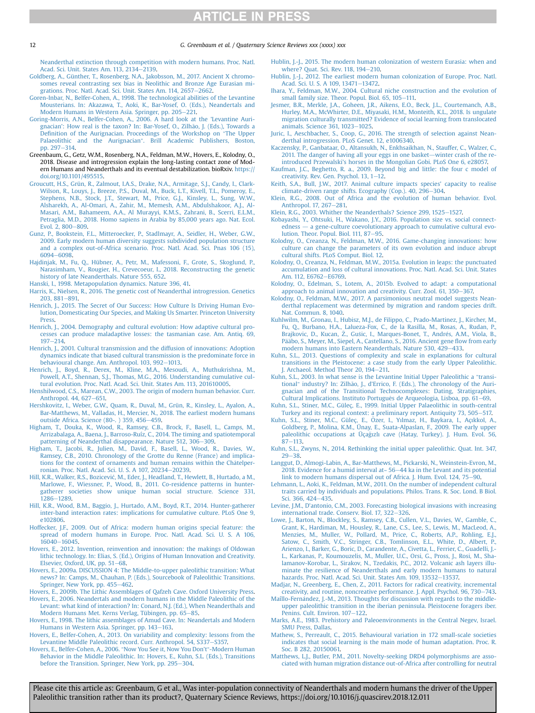[Neanderthal extinction through competition with modern humans. Proc. Natl.](http://refhub.elsevier.com/S0277-3791(18)30645-0/sref58) [Acad. Sci. Unit. States Am. 113, 2134](http://refhub.elsevier.com/S0277-3791(18)30645-0/sref58)-[2139.](http://refhub.elsevier.com/S0277-3791(18)30645-0/sref58)

- [Goldberg, A., Günther, T., Rosenberg, N.A., Jakobsson, M., 2017. Ancient X chromo](http://refhub.elsevier.com/S0277-3791(18)30645-0/sref59)[somes reveal contrasting sex bias in Neolithic and Bronze Age Eurasian mi](http://refhub.elsevier.com/S0277-3791(18)30645-0/sref59)[grations. Proc. Natl. Acad. Sci. Unit. States Am. 114, 2657](http://refhub.elsevier.com/S0277-3791(18)30645-0/sref59)-[2662](http://refhub.elsevier.com/S0277-3791(18)30645-0/sref59)
- [Goren-Inbar, N., Belfer-Cohen, A., 1998. The technological abilities of the Levantine](http://refhub.elsevier.com/S0277-3791(18)30645-0/sref60) [Mousterians. In: Akazawa, T., Aoki, K., Bar-Yosef, O. \(Eds.\), Neandertals and](http://refhub.elsevier.com/S0277-3791(18)30645-0/sref60) [Modern Humans in Western Asia. Springer, pp. 205](http://refhub.elsevier.com/S0277-3791(18)30645-0/sref60)–[221.](http://refhub.elsevier.com/S0277-3791(18)30645-0/sref60)<br>[Goring-Morris, A.N., Belfer-Cohen, A., 2006. A hard look at the 'Levantine Auri-](http://refhub.elsevier.com/S0277-3791(18)30645-0/sref61)
- [gnacian': How real is the taxon? In: Bar-Yosef, O., Zilh](http://refhub.elsevier.com/S0277-3791(18)30645-0/sref61)ão, J. (Eds.), Towards a Defi[nition of the Aurignacian. Proceedings of the Workshop on](http://refhub.elsevier.com/S0277-3791(18)30645-0/sref61) "The Upper Palaeolithic and the Aurignacian"[. Brill Academic Publishers, Boston,](http://refhub.elsevier.com/S0277-3791(18)30645-0/sref61) [pp. 297](http://refhub.elsevier.com/S0277-3791(18)30645-0/sref61)-[314](http://refhub.elsevier.com/S0277-3791(18)30645-0/sref61).
- Greenbaum, G., Getz, W.M., Rosenberg, N.A., Feldman, M.W., Hovers, E., Kolodny, O., 2018. Disease and introgression explain the long-lasting contact zone of Modern Humans and Neanderthals and its eventual destabilization. bioRxiv. [https://](https://doi.org/10.1101/495515) [doi.org/10.1101/495515.](https://doi.org/10.1101/495515)
- [Groucutt, H.S., Grün, R., Zalmout, I.A.S., Drake, N.A., Armitage, S.J., Candy, I., Clark-](http://refhub.elsevier.com/S0277-3791(18)30645-0/sref63)[Wilson, R., Louys, J., Breeze, P.S., Duval, M., Buck, L.T., Kivell, T.L., Pomeroy, E.,](http://refhub.elsevier.com/S0277-3791(18)30645-0/sref63) [Stephens, N.B., Stock, J.T., Stewart, M., Price, G.J., Kinsley, L., Sung, W.W.,](http://refhub.elsevier.com/S0277-3791(18)30645-0/sref63) [Alsharekh, A., Al-Omari, A., Zahir, M., Memesh, A.M., Abdulshakoor, A.J., Al-](http://refhub.elsevier.com/S0277-3791(18)30645-0/sref63)[Masari, A.M., Bahameem, A.A., Al Murayyi, K.M.S., Zahrani, B., Scerri, E.L.M.,](http://refhub.elsevier.com/S0277-3791(18)30645-0/sref63) [Petraglia, M.D., 2018. Homo sapiens in Arabia by 85,000 years ago. Nat. Ecol.](http://refhub.elsevier.com/S0277-3791(18)30645-0/sref63)  $Fvol. 2, 800 - 809$
- [Gunz, P., Bookstein, F.L., Mitteroecker, P., Stadlmayr, A., Seidler, H., Weber, G.W.,](http://refhub.elsevier.com/S0277-3791(18)30645-0/sref64) [2009. Early modern human diversity suggests subdivided population structure](http://refhub.elsevier.com/S0277-3791(18)30645-0/sref64) [and a complex out-of-Africa scenario. Proc. Natl. Acad. Sci. Pnas 106 \(15\),](http://refhub.elsevier.com/S0277-3791(18)30645-0/sref64) [6094](http://refhub.elsevier.com/S0277-3791(18)30645-0/sref64)-[6098](http://refhub.elsevier.com/S0277-3791(18)30645-0/sref64)
- [Hajdinjak, M., Fu, Q., Hübner, A., Petr, M., Mafessoni, F., Grote, S., Skoglund, P.,](http://refhub.elsevier.com/S0277-3791(18)30645-0/sref65) [Narasimham, V., Rougier, H., Crevecoeur, I., 2018. Reconstructing the genetic](http://refhub.elsevier.com/S0277-3791(18)30645-0/sref65) [history of late Neanderthals. Nature 555, 652.](http://refhub.elsevier.com/S0277-3791(18)30645-0/sref65)
- [Hanski, I., 1998. Metapopulation dynamics. Nature 396, 41.](http://refhub.elsevier.com/S0277-3791(18)30645-0/sref66)
- [Harris, K., Nielsen, R., 2016. The genetic cost of Neanderthal introgression. Genetics](http://refhub.elsevier.com/S0277-3791(18)30645-0/sref67) [203, 881](http://refhub.elsevier.com/S0277-3791(18)30645-0/sref67)-[891.](http://refhub.elsevier.com/S0277-3791(18)30645-0/sref67)
- [Henrich, J., 2015. The Secret of Our Success: How Culture Is Driving Human Evo](http://refhub.elsevier.com/S0277-3791(18)30645-0/sref68)[lution, Domesticating Our Species, and Making Us Smarter. Princeton University](http://refhub.elsevier.com/S0277-3791(18)30645-0/sref68) [Press](http://refhub.elsevier.com/S0277-3791(18)30645-0/sref68).
- [Henrich, J., 2004. Demography and cultural evolution: How adaptive cultural pro](http://refhub.elsevier.com/S0277-3791(18)30645-0/sref69)[cesses can produce maladaptive losses: the tasmanian case. Am. Antiq. 69,](http://refhub.elsevier.com/S0277-3791(18)30645-0/sref69)  $197 - 214$  $197 - 214$  $197 - 214$ .
- [Henrich, J., 2001. Cultural transmission and the diffusion of innovations: Adoption](http://refhub.elsevier.com/S0277-3791(18)30645-0/sref70) [dynamics indicate that biased cultural transmission is the predominate force in](http://refhub.elsevier.com/S0277-3791(18)30645-0/sref70) [behavioural change. Am. Anthropol. 103, 992](http://refhub.elsevier.com/S0277-3791(18)30645-0/sref70)-[1013.](http://refhub.elsevier.com/S0277-3791(18)30645-0/sref70)
- J., Boyd, R., Derex, M., Kline, M.A., Mesoudi, A., Muthukrishna, M. [Powell, A.T., Shennan, S.J., Thomas, M.G., 2016. Understanding cumulative cul](http://refhub.elsevier.com/S0277-3791(18)30645-0/sref71)[tural evolution. Proc. Natl. Acad. Sci. Unit. States Am. 113, 201610005](http://refhub.elsevier.com/S0277-3791(18)30645-0/sref71).
- [Henshilwood, C.S., Marean, C.W., 2003. The origin of modern human behavior. Curr.](http://refhub.elsevier.com/S0277-3791(18)30645-0/sref72) [Anthropol. 44, 627](http://refhub.elsevier.com/S0277-3791(18)30645-0/sref72)-[651.](http://refhub.elsevier.com/S0277-3791(18)30645-0/sref72)
- [Hershkovitz, I., Weber, G.W., Quam, R., Duval, M., Grün, R., Kinsley, L., Ayalon, A.,](http://refhub.elsevier.com/S0277-3791(18)30645-0/sref73) [Bar-Matthews, M., Valladas, H., Mercier, N., 2018. The earliest modern humans](http://refhub.elsevier.com/S0277-3791(18)30645-0/sref73) [outside Africa. Science \(80-. \) 359, 456](http://refhub.elsevier.com/S0277-3791(18)30645-0/sref73)-[459](http://refhub.elsevier.com/S0277-3791(18)30645-0/sref73).
- Higham, T., Douka, K., Wood, R., Ramsey, C.B., Brock, F., Basell, L., Camps, M. [Arrizabalaga, A., Baena, J., Barroso-Ruíz, C., 2014. The timing and spatiotemporal](http://refhub.elsevier.com/S0277-3791(18)30645-0/sref74) [patterning of Neanderthal disappearance. Nature 512, 306](http://refhub.elsevier.com/S0277-3791(18)30645-0/sref74)-309
- [Higham, T., Jacobi, R., Julien, M., David, F., Basell, L., Wood, R., Davies, W.,](http://refhub.elsevier.com/S0277-3791(18)30645-0/sref75) [Ramsey, C.B., 2010. Chronology of the Grotte du Renne \(France\) and implica](http://refhub.elsevier.com/S0277-3791(18)30645-0/sref75)[tions for the context of ornaments and human remains within the Ch](http://refhub.elsevier.com/S0277-3791(18)30645-0/sref75)â[telper](http://refhub.elsevier.com/S0277-3791(18)30645-0/sref75) [ronian. Proc. Natl. Acad. Sci. U. S. A 107, 20234](http://refhub.elsevier.com/S0277-3791(18)30645-0/sref75)-[20239.](http://refhub.elsevier.com/S0277-3791(18)30645-0/sref75)
- [Hill, K.R., Walker, R.S., Bozicevi](http://refhub.elsevier.com/S0277-3791(18)30645-0/sref76)ć[, M., Eder, J., Headland, T., Hewlett, B., Hurtado, a M.,](http://refhub.elsevier.com/S0277-3791(18)30645-0/sref76) [Marlowe, F., Wiessner, P., Wood, B., 2011. Co-residence patterns in hunter](http://refhub.elsevier.com/S0277-3791(18)30645-0/sref76)[gatherer societies show unique human social structure. Science 331,](http://refhub.elsevier.com/S0277-3791(18)30645-0/sref76) [1286](http://refhub.elsevier.com/S0277-3791(18)30645-0/sref76)-[1289](http://refhub.elsevier.com/S0277-3791(18)30645-0/sref76).
- [Hill, K.R., Wood, B.M., Baggio, J., Hurtado, A.M., Boyd, R.T., 2014. Hunter-gatherer](http://refhub.elsevier.com/S0277-3791(18)30645-0/sref77) [inter-band interaction rates: implications for cumulative culture. PLoS One 9,](http://refhub.elsevier.com/S0277-3791(18)30645-0/sref77) [e102806.](http://refhub.elsevier.com/S0277-3791(18)30645-0/sref77)
- [Hoffecker, J.F., 2009. Out of Africa: modern human origins special feature: the](http://refhub.elsevier.com/S0277-3791(18)30645-0/sref78) [spread of modern humans in Europe. Proc. Natl. Acad. Sci. U. S. A 106,](http://refhub.elsevier.com/S0277-3791(18)30645-0/sref78) [16040](http://refhub.elsevier.com/S0277-3791(18)30645-0/sref78)-[16045.](http://refhub.elsevier.com/S0277-3791(18)30645-0/sref78)
- [Hovers, E., 2012. Invention, reinvention and innovation: the makings of Oldowan](http://refhub.elsevier.com/S0277-3791(18)30645-0/sref79) [lithic technology. In: Elias, S. \(Ed.\), Origins of Human Innovation and Creativity.](http://refhub.elsevier.com/S0277-3791(18)30645-0/sref79) [Elsevier, Oxford, UK, pp. 51](http://refhub.elsevier.com/S0277-3791(18)30645-0/sref79)-[68](http://refhub.elsevier.com/S0277-3791(18)30645-0/sref79).
- [Hovers, E., 2009a. DISCUSSION 4: The Middle-to-upper paleolithic transition: What](http://refhub.elsevier.com/S0277-3791(18)30645-0/sref80) [news? In: Camps, M., Chauhan, P. \(Eds.\), Sourcebook of Paleolithic Transitions.](http://refhub.elsevier.com/S0277-3791(18)30645-0/sref80) [Springer, New York, pp. 455](http://refhub.elsevier.com/S0277-3791(18)30645-0/sref80)-[462.](http://refhub.elsevier.com/S0277-3791(18)30645-0/sref80)
- [Hovers, E., 2009b. The Lithic Assemblages of Qafzeh Cave. Oxford University Press](http://refhub.elsevier.com/S0277-3791(18)30645-0/sref81). [Hovers, E., 2006. Neandertals and modern humans in the Middle Paleolithic of the](http://refhub.elsevier.com/S0277-3791(18)30645-0/sref82)
- [Levant: what kind of interaction? In: Conard, N.J. \(Ed.\), When Neanderthals and](http://refhub.elsevier.com/S0277-3791(18)30645-0/sref82) [Modern Humans Met. Kerns Verlag, Tübingen, pp. 65](http://refhub.elsevier.com/S0277-3791(18)30645-0/sref82)-[85](http://refhub.elsevier.com/S0277-3791(18)30645-0/sref82). [Hovers, E., 1998. The lithic assemblages of Amud Cave. In: Neandertals and Modern](http://refhub.elsevier.com/S0277-3791(18)30645-0/sref83)
- [Humans in Western Asia. Springer, pp. 143](http://refhub.elsevier.com/S0277-3791(18)30645-0/sref83)-[163](http://refhub.elsevier.com/S0277-3791(18)30645-0/sref83).
- [Hovers, E., Belfer-Cohen, A., 2013. On variability and complexity: lessons from the](http://refhub.elsevier.com/S0277-3791(18)30645-0/sref84) [Levantine Middle Paleolithic record. Curr. Anthropol. 54, S337](http://refhub.elsevier.com/S0277-3791(18)30645-0/sref84)-[S357.](http://refhub.elsevier.com/S0277-3791(18)30645-0/sref84)
- [Hovers, E., Belfer-Cohen, A., 2006.](http://refhub.elsevier.com/S0277-3791(18)30645-0/sref85) "Now You See it, Now You Don't"-Modern Human [Behavior in the Middle Paleolithic. In: Hovers, E., Kuhn, S.L. \(Eds.\), Transitions](http://refhub.elsevier.com/S0277-3791(18)30645-0/sref85) [before the Transition. Springer, New York, pp. 295](http://refhub.elsevier.com/S0277-3791(18)30645-0/sref85)-[304](http://refhub.elsevier.com/S0277-3791(18)30645-0/sref85).
- [Hublin, J.-J., 2015. The modern human colonization of western Eurasia: when and](http://refhub.elsevier.com/S0277-3791(18)30645-0/sref86) [where? Quat. Sci. Rev. 118, 194](http://refhub.elsevier.com/S0277-3791(18)30645-0/sref86)-[210](http://refhub.elsevier.com/S0277-3791(18)30645-0/sref86).
- [Hublin, J.-J., 2012. The earliest modern human colonization of Europe. Proc. Natl.](http://refhub.elsevier.com/S0277-3791(18)30645-0/sref87) [Acad. Sci. U. S. A 109, 13471](http://refhub.elsevier.com/S0277-3791(18)30645-0/sref87)-[13472](http://refhub.elsevier.com/S0277-3791(18)30645-0/sref87).
- [Ihara, Y., Feldman, M.W., 2004. Cultural niche construction and the evolution of](http://refhub.elsevier.com/S0277-3791(18)30645-0/sref88) [small family size. Theor. Popul. Biol. 65, 105](http://refhub.elsevier.com/S0277-3791(18)30645-0/sref88)-[111.](http://refhub.elsevier.com/S0277-3791(18)30645-0/sref88)
- [Jesmer, B.R., Merkle, J.A., Goheen, J.R., Aikens, E.O., Beck, J.L., Courtemanch, A.B.,](http://refhub.elsevier.com/S0277-3791(18)30645-0/sref89) [Hurley, M.A., McWhirter, D.E., Miyasaki, H.M., Monteith, K.L., 2018. Is ungulate](http://refhub.elsevier.com/S0277-3791(18)30645-0/sref89) [migration culturally transmitted? Evidence of social learning from translocated](http://refhub.elsevier.com/S0277-3791(18)30645-0/sref89) [animals. Science 361, 1023](http://refhub.elsevier.com/S0277-3791(18)30645-0/sref89)-[1025.](http://refhub.elsevier.com/S0277-3791(18)30645-0/sref89)
- [Juric, I., Aeschbacher, S., Coop, G., 2016. The strength of selection against Nean](http://refhub.elsevier.com/S0277-3791(18)30645-0/sref90)[derthal introgression. PLoS Genet. 12, e1006340.](http://refhub.elsevier.com/S0277-3791(18)30645-0/sref90)
- [Kaczensky, P., Ganbataar, O., Altansukh, N., Enkhsaikhan, N., Stauffer, C., Walzer, C.,](http://refhub.elsevier.com/S0277-3791(18)30645-0/sref91) [2011. The danger of having all your eggs in one basket](http://refhub.elsevier.com/S0277-3791(18)30645-0/sref91)-[winter crash of the re](http://refhub.elsevier.com/S0277-3791(18)30645-0/sref91)[introduced Przewalski's horses in the Mongolian Gobi. PLoS One 6, e28057.](http://refhub.elsevier.com/S0277-3791(18)30645-0/sref91)
- [Kaufman, J.C., Beghetto, R. a., 2009. Beyond big and little: the four c model of](http://refhub.elsevier.com/S0277-3791(18)30645-0/sref92) creativity. Rev. Gen. Psychol.  $13, 1-12$ .
- [Keith, S.A., Bull, J.W., 2017. Animal culture impacts species' capacity to realise](http://refhub.elsevier.com/S0277-3791(18)30645-0/sref93) [climate-driven range shifts. Ecography \(Cop.\). 40, 296](http://refhub.elsevier.com/S0277-3791(18)30645-0/sref93)-[304](http://refhub.elsevier.com/S0277-3791(18)30645-0/sref93).
- [Klein, R.G., 2008. Out of Africa and the evolution of human behavior. Evol.](http://refhub.elsevier.com/S0277-3791(18)30645-0/sref94) [Anthropol. 17, 267](http://refhub.elsevier.com/S0277-3791(18)30645-0/sref94)-[281.](http://refhub.elsevier.com/S0277-3791(18)30645-0/sref94)
- [Klein, R.G., 2003. Whither the Neanderthals? Science 299, 1525](http://refhub.elsevier.com/S0277-3791(18)30645-0/sref95)-[1527.](http://refhub.elsevier.com/S0277-3791(18)30645-0/sref95)
- [Kobayashi, Y., Ohtsuki, H., Wakano, J.Y., 2016. Population size vs. social connect](http://refhub.elsevier.com/S0277-3791(18)30645-0/sref96)[edness](http://refhub.elsevier.com/S0277-3791(18)30645-0/sref96) - [a gene-culture coevolutionary approach to cumulative cultural evo](http://refhub.elsevier.com/S0277-3791(18)30645-0/sref96)[lution. Theor. Popul. Biol. 111, 87](http://refhub.elsevier.com/S0277-3791(18)30645-0/sref96)-[95](http://refhub.elsevier.com/S0277-3791(18)30645-0/sref96).
- [Kolodny, O., Creanza, N., Feldman, M.W., 2016. Game-changing innovations: how](http://refhub.elsevier.com/S0277-3791(18)30645-0/sref97) [culture can change the parameters of its own evolution and induce abrupt](http://refhub.elsevier.com/S0277-3791(18)30645-0/sref97) [cultural shifts. PLoS Comput. Biol. 12.](http://refhub.elsevier.com/S0277-3791(18)30645-0/sref97)
- [Kolodny, O., Creanza, N., Feldman, M.W., 2015a. Evolution in leaps: the punctuated](http://refhub.elsevier.com/S0277-3791(18)30645-0/sref98) [accumulation and loss of cultural innovations. Proc. Natl. Acad. Sci. Unit. States](http://refhub.elsevier.com/S0277-3791(18)30645-0/sref98) [Am. 112, E6762](http://refhub.elsevier.com/S0277-3791(18)30645-0/sref98)-[E6769.](http://refhub.elsevier.com/S0277-3791(18)30645-0/sref98)
- [Kolodny, O., Edelman, S., Lotem, A., 2015b. Evolved to adapt: a computational](http://refhub.elsevier.com/S0277-3791(18)30645-0/sref99) [approach to animal innovation and creativity. Curr. Zool. 61, 350](http://refhub.elsevier.com/S0277-3791(18)30645-0/sref99)-[367.](http://refhub.elsevier.com/S0277-3791(18)30645-0/sref99)
- [Kolodny, O., Feldman, M.W., 2017. A parsimonious neutral model suggests Nean](http://refhub.elsevier.com/S0277-3791(18)30645-0/sref100)[derthal replacement was determined by migration and random species drift.](http://refhub.elsevier.com/S0277-3791(18)30645-0/sref100) [Nat. Commun. 8, 1040](http://refhub.elsevier.com/S0277-3791(18)30645-0/sref100).
- [Kuhlwilm, M., Gronau, I., Hubisz, M.J., de Filippo, C., Prado-Martinez, J., Kircher, M.,](http://refhub.elsevier.com/S0277-3791(18)30645-0/sref101) [Fu, Q., Burbano, H.A., Lalueza-Fox, C., de la Rasilla, M., Rosas, A., Rudan, P.,](http://refhub.elsevier.com/S0277-3791(18)30645-0/sref101) [Brajkovic, D., Kucan,](http://refhub.elsevier.com/S0277-3791(18)30645-0/sref101) Ž., Gušic, I., Marques-Bonet, T., André[s, A.M., Viola, B.,](http://refhub.elsevier.com/S0277-3791(18)30645-0/sref101) [P](http://refhub.elsevier.com/S0277-3791(18)30645-0/sref101)ääbo, S., Meyer, M., Siepel, A., Castellano, S., 2016. Ancient gene flow from early [modern humans into Eastern Neanderthals. Nature 530, 429](http://refhub.elsevier.com/S0277-3791(18)30645-0/sref101)-[433.](http://refhub.elsevier.com/S0277-3791(18)30645-0/sref101)
- [Kuhn, S.L., 2013. Questions of complexity and scale in explanations for cultural](http://refhub.elsevier.com/S0277-3791(18)30645-0/sref102) [transitions in the Pleistocene: a case study from the early Upper Paleolithic.](http://refhub.elsevier.com/S0277-3791(18)30645-0/sref102) [J. Archaeol. Method Theor 20, 194](http://refhub.elsevier.com/S0277-3791(18)30645-0/sref102)-[211.](http://refhub.elsevier.com/S0277-3791(18)30645-0/sref102)
- [Kuhn, S.L., 2003. In what sense is the Levantine Initial Upper Paleolithic a](http://refhub.elsevier.com/S0277-3791(18)30645-0/sref103) "transitional" [industry? In: Zilh](http://refhub.elsevier.com/S0277-3791(18)30645-0/sref103)ão, J., d'[Errico, F. \(Eds.\), The chronology of the Auri](http://refhub.elsevier.com/S0277-3791(18)30645-0/sref103)[gnacian and of the Transitional Technocomplexes: Dating, Stratigraphies,](http://refhub.elsevier.com/S0277-3791(18)30645-0/sref103) Cultural Implications. Instituto Português de Arqueologia, Lisboa, pp. 61-[69](http://refhub.elsevier.com/S0277-3791(18)30645-0/sref103).
- [Kuhn, S.L., Stiner, M.C., Güleç, E., 1999. Initial Upper Palaeolithic in south-central](http://refhub.elsevier.com/S0277-3791(18)30645-0/sref104) [Turkey and its regional context: a preliminary report. Antiquity 73, 505](http://refhub.elsevier.com/S0277-3791(18)30645-0/sref104)-[517.](http://refhub.elsevier.com/S0277-3791(18)30645-0/sref104)
- [Kuhn, S.L., Stiner, M.C., Güleç, E.,](http://refhub.elsevier.com/S0277-3791(18)30645-0/sref105) Ö[zer, I., Y](http://refhub.elsevier.com/S0277-3791(18)30645-0/sref105)ı[lmaz, H., Baykara, I., Aç](http://refhub.elsevier.com/S0277-3791(18)30645-0/sref105)ı[kkol, A.,](http://refhub.elsevier.com/S0277-3791(18)30645-0/sref105) [Goldberg, P., Molina, K.M., Ünay, E., Suata-Alpaslan, F., 2009. The early upper](http://refhub.elsevier.com/S0277-3791(18)30645-0/sref105) [paleolithic occupations at Üça](http://refhub.elsevier.com/S0277-3791(18)30645-0/sref105)gı[zl](http://refhub.elsevier.com/S0277-3791(18)30645-0/sref105)ı [cave \(Hatay, Turkey\). J. Hum. Evol. 56,](http://refhub.elsevier.com/S0277-3791(18)30645-0/sref105)  $87 - 113.$  $87 - 113.$  $87 - 113.$  $87 - 113.$
- [Kuhn, S.L., Zwyns, N., 2014. Rethinking the initial upper paleolithic. Quat. Int. 347,](http://refhub.elsevier.com/S0277-3791(18)30645-0/sref106)  $29 - 38.$  $29 - 38.$  $29 - 38.$
- [Langgut, D., Almogi-Labin, A., Bar-Matthews, M., Pickarski, N., Weinstein-Evron, M.,](http://refhub.elsevier.com/S0277-3791(18)30645-0/sref107) 2018. Evidence for a humid interval at~  $56-44$  ka in the Levant and its potential [link to modern humans dispersal out of Africa. J. Hum. Evol. 124, 75](http://refhub.elsevier.com/S0277-3791(18)30645-0/sref107)-[90.](http://refhub.elsevier.com/S0277-3791(18)30645-0/sref107)
- [Lehmann, L., Aoki, K., Feldman, M.W., 2011. On the number of independent cultural](http://refhub.elsevier.com/S0277-3791(18)30645-0/sref108) [traits carried by individuals and populations. Philos. Trans. R. Soc. Lond. B Biol.](http://refhub.elsevier.com/S0277-3791(18)30645-0/sref108) [Sci. 366, 424](http://refhub.elsevier.com/S0277-3791(18)30645-0/sref108)-[435.](http://refhub.elsevier.com/S0277-3791(18)30645-0/sref108)
- Levine, J.M., D'[antonio, C.M., 2003. Forecasting biological invasions with increasing](http://refhub.elsevier.com/S0277-3791(18)30645-0/sref109) [international trade. Conserv. Biol. 17, 322](http://refhub.elsevier.com/S0277-3791(18)30645-0/sref109)-[326](http://refhub.elsevier.com/S0277-3791(18)30645-0/sref109).
- [Lowe, J., Barton, N., Blockley, S., Ramsey, C.B., Cullen, V.L., Davies, W., Gamble, C.,](http://refhub.elsevier.com/S0277-3791(18)30645-0/sref110) [Grant, K., Hardiman, M., Housley, R., Lane, C.S., Lee, S., Lewis, M., MacLeod, A.,](http://refhub.elsevier.com/S0277-3791(18)30645-0/sref110) [Menzies, M., Muller, W., Pollard, M., Price, C., Roberts, A.P., Rohling, E.J.,](http://refhub.elsevier.com/S0277-3791(18)30645-0/sref110) [Satow, C., Smith, V.C., Stringer, C.B., Tomlinson, E.L., White, D., Albert, P.,](http://refhub.elsevier.com/S0277-3791(18)30645-0/sref110) [Arienzo, I., Barker, G., Boric, D., Carandente, A., Civetta, L., Ferrier, C., Guadelli, J.-](http://refhub.elsevier.com/S0277-3791(18)30645-0/sref110) [L., Karkanas, P., Koumouzelis, M., Muller, U.C., Orsi, G., Pross, J., Rosi, M., Sha](http://refhub.elsevier.com/S0277-3791(18)30645-0/sref110)[lamanov-Korobar, L., Sirakov, N., Tzedakis, P.C., 2012. Volcanic ash layers illu](http://refhub.elsevier.com/S0277-3791(18)30645-0/sref110)[minate the resilience of Neanderthals and early modern humans to natural](http://refhub.elsevier.com/S0277-3791(18)30645-0/sref110) [hazards. Proc. Natl. Acad. Sci. Unit. States Am. 109, 13532](http://refhub.elsevier.com/S0277-3791(18)30645-0/sref110)-[13537.](http://refhub.elsevier.com/S0277-3791(18)30645-0/sref110)
- [Madjar, N., Greenberg, E., Chen, Z., 2011. Factors for radical creativity, incremental](http://refhub.elsevier.com/S0277-3791(18)30645-0/sref111) [creativity, and routine, noncreative performance. J. Appl. Psychol. 96, 730](http://refhub.elsevier.com/S0277-3791(18)30645-0/sref111)-[743](http://refhub.elsevier.com/S0277-3791(18)30645-0/sref111).
- Maíllo-Fernández, J.-M., 2013. Thoughts for discussion with regards to the middle[upper paleolithic transition in the iberian peninsula. Pleistocene foragers iber.](http://refhub.elsevier.com/S0277-3791(18)30645-0/sref112) [Penins. Cult. Environ. 107](http://refhub.elsevier.com/S0277-3791(18)30645-0/sref112)-[122](http://refhub.elsevier.com/S0277-3791(18)30645-0/sref112).
- [Marks, A.E., 1983. Prehistory and Paleoenvironments in the Central Negev, Israel.](http://refhub.elsevier.com/S0277-3791(18)30645-0/sref113) [SMU Press, Dallas.](http://refhub.elsevier.com/S0277-3791(18)30645-0/sref113)
- [Mathew, S., Perreault, C., 2015. Behavioural variation in 172 small-scale societies](http://refhub.elsevier.com/S0277-3791(18)30645-0/sref114) [indicates that social learning is the main mode of human adaptation. Proc. R.](http://refhub.elsevier.com/S0277-3791(18)30645-0/sref114) [Soc. B 282, 20150061.](http://refhub.elsevier.com/S0277-3791(18)30645-0/sref114)
- [Matthews, L.J., Butler, P.M., 2011. Novelty-seeking DRD4 polymorphisms are asso](http://refhub.elsevier.com/S0277-3791(18)30645-0/sref115)[ciated with human migration distance out-of-Africa after controlling for neutral](http://refhub.elsevier.com/S0277-3791(18)30645-0/sref115)

<span id="page-11-0"></span>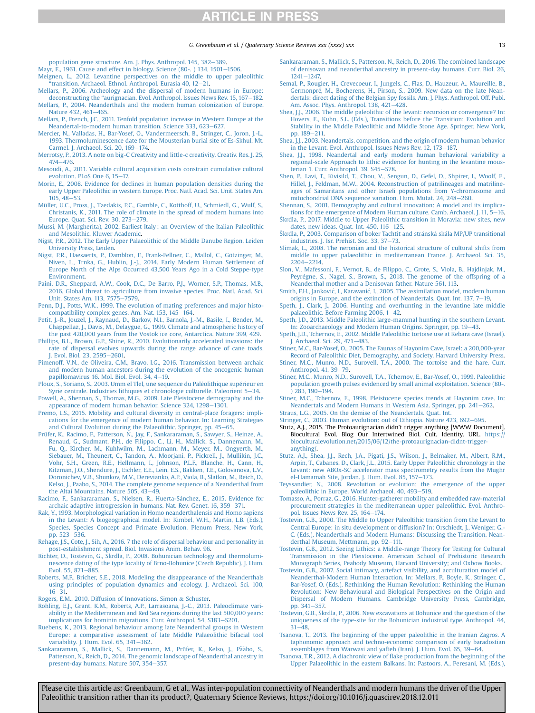#### G. Greenbaum et al. / Quaternary Science Reviews xxx (xxxx) xxx 13

<span id="page-12-0"></span>[population gene structure. Am. J. Phys. Anthropol. 145, 382](http://refhub.elsevier.com/S0277-3791(18)30645-0/sref115)-[389](http://refhub.elsevier.com/S0277-3791(18)30645-0/sref115).

- Mayr, E., 1961. Cause and effect in biology. Science  $(80-)$  134, 1501–[1506.](http://refhub.elsevier.com/S0277-3791(18)30645-0/sref116) [Meignen, L., 2012. Levantine perspectives on the middle to upper paleolithic](http://refhub.elsevier.com/S0277-3791(18)30645-0/sref117)
- "[transition. Archaeol. Ethnol. Anthropol. Eurasia 40, 12](http://refhub.elsevier.com/S0277-3791(18)30645-0/sref117)–[21.](http://refhub.elsevier.com/S0277-3791(18)30645-0/sref117) [Mellars, P., 2006. Archeology and the dispersal of modern humans in Europe:](http://refhub.elsevier.com/S0277-3791(18)30645-0/sref118)
- deconstructing the "[aurignacian. Evol. Anthropol. Issues News Rev. 15, 167](http://refhub.elsevier.com/S0277-3791(18)30645-0/sref118)-[182](http://refhub.elsevier.com/S0277-3791(18)30645-0/sref118). [Mellars, P., 2004. Neanderthals and the modern human colonization of Europe.](http://refhub.elsevier.com/S0277-3791(18)30645-0/sref119)
- [Nature 432, 461](http://refhub.elsevier.com/S0277-3791(18)30645-0/sref119)-[465.](http://refhub.elsevier.com/S0277-3791(18)30645-0/sref119)
- [Mellars, P., French, J.C., 2011. Tenfold population increase in Western Europe at the](http://refhub.elsevier.com/S0277-3791(18)30645-0/sref120) [Neandertal-to-modern human transition. Science 333, 623](http://refhub.elsevier.com/S0277-3791(18)30645-0/sref120)-[627.](http://refhub.elsevier.com/S0277-3791(18)30645-0/sref120)
- [Mercier, N., Valladas, H., Bar-Yosef, O., Vandermeersch, B., Stringer, C., Joron, J.-L.,](http://refhub.elsevier.com/S0277-3791(18)30645-0/sref121) [1993. Thermoluminescence date for the Mousterian burial site of Es-Skhul, Mt.](http://refhub.elsevier.com/S0277-3791(18)30645-0/sref121) [Carmel. J. Archaeol. Sci. 20, 169](http://refhub.elsevier.com/S0277-3791(18)30645-0/sref121)-[174.](http://refhub.elsevier.com/S0277-3791(18)30645-0/sref121)
- [Merrotsy, P., 2013. A note on big-C Creativity and little-c creativity. Creativ. Res. J. 25,](http://refhub.elsevier.com/S0277-3791(18)30645-0/sref122) [474](http://refhub.elsevier.com/S0277-3791(18)30645-0/sref122)-[476](http://refhub.elsevier.com/S0277-3791(18)30645-0/sref122).
- [Mesoudi, A., 2011. Variable cultural acquisition costs constrain cumulative cultural](http://refhub.elsevier.com/S0277-3791(18)30645-0/sref123) evolution. PLoS One  $6, 15-17$ .
- [Morin, E., 2008. Evidence for declines in human population densities during the](http://refhub.elsevier.com/S0277-3791(18)30645-0/sref124) [early Upper Paleolithic in western Europe. Proc. Natl. Acad. Sci. Unit. States Am.](http://refhub.elsevier.com/S0277-3791(18)30645-0/sref124)  $105.48 - 53.$  $105.48 - 53.$  $105.48 - 53.$
- [Müller, U.C., Pross, J., Tzedakis, P.C., Gamble, C., Kotthoff, U., Schmiedl, G., Wulf, S.,](http://refhub.elsevier.com/S0277-3791(18)30645-0/sref125) [Christanis, K., 2011. The role of climate in the spread of modern humans into](http://refhub.elsevier.com/S0277-3791(18)30645-0/sref125) [Europe. Quat. Sci. Rev. 30, 273](http://refhub.elsevier.com/S0277-3791(18)30645-0/sref125)-[279.](http://refhub.elsevier.com/S0277-3791(18)30645-0/sref125)
- [Mussi, M. \(Margherita\), 2002. Earliest Italy : an Overview of the Italian Paleolithic](http://refhub.elsevier.com/S0277-3791(18)30645-0/sref126) [and Mesolithic. Kluwer Academic.](http://refhub.elsevier.com/S0277-3791(18)30645-0/sref126)
- [Nigst, P.R., 2012. The Early Upper Palaeolithic of the Middle Danube Region. Leiden](http://refhub.elsevier.com/S0277-3791(18)30645-0/sref127) [University Press, Leiden.](http://refhub.elsevier.com/S0277-3791(18)30645-0/sref127)
- [Nigst, P.R., Haesaerts, P., Damblon, F., Frank-Fellner, C., Mallol, C., G](http://refhub.elsevier.com/S0277-3791(18)30645-0/sref128)ö[tzinger, M.,](http://refhub.elsevier.com/S0277-3791(18)30645-0/sref128) [Niven, L., Trnka, G., Hublin, J.-J., 2014. Early Modern Human Settlement of](http://refhub.elsevier.com/S0277-3791(18)30645-0/sref128) [Europe North of the Alps Occurred 43,500 Years Ago in a Cold Steppe-type](http://refhub.elsevier.com/S0277-3791(18)30645-0/sref128) [Environment.](http://refhub.elsevier.com/S0277-3791(18)30645-0/sref128)
- Paini, D.R., Sheppard, A.W., Cook, D.C., De Barro, P.J., Worner, S.P., Thomas, M.B. [2016. Global threat to agriculture from invasive species. Proc. Natl. Acad. Sci.](http://refhub.elsevier.com/S0277-3791(18)30645-0/sref129) [Unit. States Am. 113, 7575](http://refhub.elsevier.com/S0277-3791(18)30645-0/sref129)-[7579.](http://refhub.elsevier.com/S0277-3791(18)30645-0/sref129)
- [Penn, D.J., Potts, W.K., 1999. The evolution of mating preferences and major histo](http://refhub.elsevier.com/S0277-3791(18)30645-0/sref130)[compatibility complex genes. Am. Nat. 153, 145](http://refhub.elsevier.com/S0277-3791(18)30645-0/sref130)-[164.](http://refhub.elsevier.com/S0277-3791(18)30645-0/sref130)
- [Petit, J.-R., Jouzel, J., Raynaud, D., Barkov, N.I., Barnola, J.-M., Basile, I., Bender, M.,](http://refhub.elsevier.com/S0277-3791(18)30645-0/sref131) [Chappellaz, J., Davis, M., Delaygue, G., 1999. Climate and atmospheric history of](http://refhub.elsevier.com/S0277-3791(18)30645-0/sref131) [the past 420,000 years from the Vostok ice core, Antarctica. Nature 399, 429](http://refhub.elsevier.com/S0277-3791(18)30645-0/sref131).
- [Phillips, B.L., Brown, G.P., Shine, R., 2010. Evolutionarily accelerated invasions: the](http://refhub.elsevier.com/S0277-3791(18)30645-0/sref132) [rate of dispersal evolves upwards during the range advance of cane toads.](http://refhub.elsevier.com/S0277-3791(18)30645-0/sref132) [J. Evol. Biol. 23, 2595](http://refhub.elsevier.com/S0277-3791(18)30645-0/sref132)-[2601.](http://refhub.elsevier.com/S0277-3791(18)30645-0/sref132)
- [Pimenoff, V.N., de Oliveira, C.M., Bravo, I.G., 2016. Transmission between archaic](http://refhub.elsevier.com/S0277-3791(18)30645-0/sref133) [and modern human ancestors during the evolution of the oncogenic human](http://refhub.elsevier.com/S0277-3791(18)30645-0/sref133) [papillomavirus 16. Mol. Biol. Evol. 34, 4](http://refhub.elsevier.com/S0277-3791(18)30645-0/sref133)-[19](http://refhub.elsevier.com/S0277-3791(18)30645-0/sref133).
- Ploux, S., Soriano, S., 2003. Umm el Tlel, une sequence du Paléolithique supé[rieur en](http://refhub.elsevier.com/S0277-3791(18)30645-0/sref134) [Syrie centrale. Industries lithiques et chronologie culturelle. Paleorient 5](http://refhub.elsevier.com/S0277-3791(18)30645-0/sref134)-[34.](http://refhub.elsevier.com/S0277-3791(18)30645-0/sref134)
- [Powell, A., Shennan, S., Thomas, M.G., 2009. Late Pleistocene demography and the](http://refhub.elsevier.com/S0277-3791(18)30645-0/sref135) [appearance of modern human behavior. Science 324, 1298](http://refhub.elsevier.com/S0277-3791(18)30645-0/sref135)-[1301.](http://refhub.elsevier.com/S0277-3791(18)30645-0/sref135)
- [Premo, L.S., 2015. Mobility and cultural diversity in central-place foragers: impli](http://refhub.elsevier.com/S0277-3791(18)30645-0/sref136)[cations for the emergence of modern human behavior. In: Learning Strategies](http://refhub.elsevier.com/S0277-3791(18)30645-0/sref136) [and Cultural Evolution during the Palaeolithic. Springer, pp. 45](http://refhub.elsevier.com/S0277-3791(18)30645-0/sref136)-[65](http://refhub.elsevier.com/S0277-3791(18)30645-0/sref136).
- [Prüfer, K., Racimo, F., Patterson, N., Jay, F., Sankararaman, S., Sawyer, S., Heinze, A.,](http://refhub.elsevier.com/S0277-3791(18)30645-0/sref137) [Renaud, G., Sudmant, P.H., de Filippo, C., Li, H., Mallick, S., Dannemann, M.,](http://refhub.elsevier.com/S0277-3791(18)30645-0/sref137) [Fu, Q., Kircher, M., Kuhlwilm, M., Lachmann, M., Meyer, M., Ongyerth, M.,](http://refhub.elsevier.com/S0277-3791(18)30645-0/sref137) [Siebauer, M., Theunert, C., Tandon, A., Moorjani, P., Pickrell, J., Mullikin, J.C.,](http://refhub.elsevier.com/S0277-3791(18)30645-0/sref137) [Vohr, S.H., Green, R.E., Hellmann, I., Johnson, P.L.F., Blanche, H., Cann, H.,](http://refhub.elsevier.com/S0277-3791(18)30645-0/sref137) [Kitzman, J.O., Shendure, J., Eichler, E.E., Lein, E.S., Bakken, T.E., Golovanova, L.V.,](http://refhub.elsevier.com/S0277-3791(18)30645-0/sref137) [Doronichev, V.B., Shunkov, M.V., Derevianko, A.P., Viola, B., Slatkin, M., Reich, D.,](http://refhub.elsevier.com/S0277-3791(18)30645-0/sref137) [Kelso, J., Paabo, S., 2014. The complete genome sequence of a Neanderthal from](http://refhub.elsevier.com/S0277-3791(18)30645-0/sref137) the Altai Mountains. Nature 505,  $43-49$  $43-49$ .
- [Racimo, F., Sankararaman, S., Nielsen, R., Huerta-S](http://refhub.elsevier.com/S0277-3791(18)30645-0/sref138) [anchez, E., 2015. Evidence for](http://refhub.elsevier.com/S0277-3791(18)30645-0/sref138) [archaic adaptive introgression in humans. Nat. Rev. Genet. 16, 359](http://refhub.elsevier.com/S0277-3791(18)30645-0/sref138)-[371.](http://refhub.elsevier.com/S0277-3791(18)30645-0/sref138)
- [Rak, Y., 1993. Morphological variation in Homo neanderthalensis and Homo sapiens](http://refhub.elsevier.com/S0277-3791(18)30645-0/sref139) [in the Levant: A biogeographical model. In: Kimbel, W.H., Martin, L.B. \(Eds.\),](http://refhub.elsevier.com/S0277-3791(18)30645-0/sref139) [Species, Species Concept and Primate Evolution. Plenum Press, New York,](http://refhub.elsevier.com/S0277-3791(18)30645-0/sref139) pp.  $523 - 536$ .
- [Rehage, J.S., Cote, J., Sih, A., 2016. 7 the role of dispersal behaviour and personality in](http://refhub.elsevier.com/S0277-3791(18)30645-0/sref140) [post-establishment spread. Biol. Invasions Anim. Behav. 96.](http://refhub.elsevier.com/S0277-3791(18)30645-0/sref140)
- [Richter, D., Tostevin, G.,](http://refhub.elsevier.com/S0277-3791(18)30645-0/sref141) S[krdla, P., 2008. Bohunician technology and thermolumi](http://refhub.elsevier.com/S0277-3791(18)30645-0/sref141)[nescence dating of the type locality of Brno-Bohunice \(Czech Republic\). J. Hum.](http://refhub.elsevier.com/S0277-3791(18)30645-0/sref141) [Evol. 55, 871](http://refhub.elsevier.com/S0277-3791(18)30645-0/sref141)-[885](http://refhub.elsevier.com/S0277-3791(18)30645-0/sref141).
- [Roberts, M.F., Bricher, S.E., 2018. Modeling the disappearance of the Neanderthals](http://refhub.elsevier.com/S0277-3791(18)30645-0/sref142) [using principles of population dynamics and ecology. J. Archaeol. Sci. 100,](http://refhub.elsevier.com/S0277-3791(18)30645-0/sref142)  $16 - 31$  $16 - 31$ .
- [Rogers, E.M., 2010. Diffusion of Innovations. Simon](http://refhub.elsevier.com/S0277-3791(18)30645-0/sref143) & [Schuster.](http://refhub.elsevier.com/S0277-3791(18)30645-0/sref143)
- [Rohling, E.J., Grant, K.M., Roberts, A.P., Larrasoana, J.-C., 2013. Paleoclimate vari](http://refhub.elsevier.com/S0277-3791(18)30645-0/sref144)[ability in the Mediterranean and Red Sea regions during the last 500,000 years:](http://refhub.elsevier.com/S0277-3791(18)30645-0/sref144) [implications for hominin migrations. Curr. Anthropol. 54, S183](http://refhub.elsevier.com/S0277-3791(18)30645-0/sref144)-[S201.](http://refhub.elsevier.com/S0277-3791(18)30645-0/sref144)
- [Ruebens, K., 2013. Regional behaviour among late Neanderthal groups in Western](http://refhub.elsevier.com/S0277-3791(18)30645-0/sref145) [Europe: a comparative assessment of late Middle Palaeolithic bifacial tool](http://refhub.elsevier.com/S0277-3791(18)30645-0/sref145) [variability. J. Hum. Evol. 65, 341](http://refhub.elsevier.com/S0277-3791(18)30645-0/sref145)–[362.](http://refhub.elsevier.com/S0277-3791(18)30645-0/sref145)<br>[Sankararaman, S., Mallick, S., Dannemann, M., Prüfer, K., Kelso, J., P](http://refhub.elsevier.com/S0277-3791(18)30645-0/sref146)ää[bo, S.,](http://refhub.elsevier.com/S0277-3791(18)30645-0/sref146)
- [Patterson, N., Reich, D., 2014. The genomic landscape of Neanderthal ancestry in](http://refhub.elsevier.com/S0277-3791(18)30645-0/sref146) [present-day humans. Nature 507, 354](http://refhub.elsevier.com/S0277-3791(18)30645-0/sref146)-[357.](http://refhub.elsevier.com/S0277-3791(18)30645-0/sref146)
- [Sankararaman, S., Mallick, S., Patterson, N., Reich, D., 2016. The combined landscape](http://refhub.elsevier.com/S0277-3791(18)30645-0/sref147) [of denisovan and neanderthal ancestry in present-day humans. Curr. Biol. 26,](http://refhub.elsevier.com/S0277-3791(18)30645-0/sref147)  $1241 - 1247$  $1241 - 1247$ .
- [Semal, P., Rougier, H., Crevecoeur, I., Jungels, C., Flas, D., Hauzeur, A., Maureille, B.,](http://refhub.elsevier.com/S0277-3791(18)30645-0/sref148) Germonpré, M., Bocherens, H., Pirson, S., 2009. New data on the late Nean[dertals: direct dating of the Belgian Spy fossils. Am. J. Phys. Anthropol. Off. Publ.](http://refhub.elsevier.com/S0277-3791(18)30645-0/sref148) Am. Assoc. Phys. Anthropol.  $138, 421-428$ .
- [Shea, J.J., 2006. The middle paleolithic of the levant: recursion or convergence? In:](http://refhub.elsevier.com/S0277-3791(18)30645-0/sref149) [Hovers, E., Kuhn, S.L. \(Eds.\), Transitions before the Transition: Evolution and](http://refhub.elsevier.com/S0277-3791(18)30645-0/sref149) [Stability in the Middle Paleolithic and Middle Stone Age. Springer, New York,](http://refhub.elsevier.com/S0277-3791(18)30645-0/sref149) [pp. 189](http://refhub.elsevier.com/S0277-3791(18)30645-0/sref149)-[211.](http://refhub.elsevier.com/S0277-3791(18)30645-0/sref149)
- [Shea, J.J., 2003. Neandertals, competition, and the origin of modern human behavior](http://refhub.elsevier.com/S0277-3791(18)30645-0/sref150) [in the Levant. Evol. Anthropol. Issues News Rev. 12, 173](http://refhub.elsevier.com/S0277-3791(18)30645-0/sref150)-[187.](http://refhub.elsevier.com/S0277-3791(18)30645-0/sref150)
- [Shea, J.J., 1998. Neandertal and early modern human behavioral variability a](http://refhub.elsevier.com/S0277-3791(18)30645-0/sref151) [regional-scale Approach to lithic evidence for hunting in the levantine mous](http://refhub.elsevier.com/S0277-3791(18)30645-0/sref151)[terian 1. Curr. Anthropol. 39, S45](http://refhub.elsevier.com/S0277-3791(18)30645-0/sref151)-[S78.](http://refhub.elsevier.com/S0277-3791(18)30645-0/sref151)
- [Shen, P., Lavi, T., Kivisild, T., Chou, V., Sengun, D., Gefel, D., Shpirer, I., Woolf, E.,](http://refhub.elsevier.com/S0277-3791(18)30645-0/sref152) [Hillel, J., Feldman, M.W., 2004. Reconstruction of patrilineages and matriline](http://refhub.elsevier.com/S0277-3791(18)30645-0/sref152)[ages of Samaritans and other Israeli populations from Y-chromosome and](http://refhub.elsevier.com/S0277-3791(18)30645-0/sref152) [mitochondrial DNA sequence variation. Hum. Mutat. 24, 248](http://refhub.elsevier.com/S0277-3791(18)30645-0/sref152)–[260.](http://refhub.elsevier.com/S0277-3791(18)30645-0/sref152)
- [Shennan, S., 2001. Demography and cultural innovation: A model and its implica](http://refhub.elsevier.com/S0277-3791(18)30645-0/sref153)[tions for the emergence of Modern Human culture. Camb. Archaeol. J. 11, 5](http://refhub.elsevier.com/S0277-3791(18)30645-0/sref153)–[16](http://refhub.elsevier.com/S0277-3791(18)30645-0/sref153).
- S[krdla, P., 2017. Middle to Upper Paleolithic transition in Moravia: new sites, new](http://refhub.elsevier.com/S0277-3791(18)30645-0/sref154) dates, new ideas. Quat. Int.  $450$ ,  $116-125$ .
- S[krdla, P., 2003. Comparison of boker Tachtit and str](http://refhub.elsevier.com/S0277-3791(18)30645-0/sref155)á[nsk](http://refhub.elsevier.com/S0277-3791(18)30645-0/sref155)á [sk](http://refhub.elsevier.com/S0277-3791(18)30645-0/sref155)ála MP/UP transitional industries. J. Isr. Prehist. Soc.  $33, 37-73$ .
- [Slimak, L., 2008. The neronian and the historical structure of cultural shifts from](http://refhub.elsevier.com/S0277-3791(18)30645-0/sref156) [middle to upper palaeolithic in mediterranean France. J. Archaeol. Sci. 35,](http://refhub.elsevier.com/S0277-3791(18)30645-0/sref156)  $2204 - 2214$  $2204 - 2214$  $2204 - 2214$
- [Slon, V., Mafessoni, F., Vernot, B., de Filippo, C., Grote, S., Viola, B., Hajdinjak, M.,](http://refhub.elsevier.com/S0277-3791(18)30645-0/sref157) Peyrégne, S., Nagel, S., Brown, S., 2018. The genome of the offspring of a [Neanderthal mother and a Denisovan father. Nature 561, 113.](http://refhub.elsevier.com/S0277-3791(18)30645-0/sref157)
- [Smith, F.H., Jankovi](http://refhub.elsevier.com/S0277-3791(18)30645-0/sref158)ć, I., Karavanić, I., 2005. The assimilation model, modern human [origins in Europe, and the extinction of Neandertals. Quat. Int. 137, 7](http://refhub.elsevier.com/S0277-3791(18)30645-0/sref158)-[19.](http://refhub.elsevier.com/S0277-3791(18)30645-0/sref158)
- [Speth, J., Clark, J., 2006. Hunting and overhunting in the levantine late middle](http://refhub.elsevier.com/S0277-3791(18)30645-0/sref159) [palaeolithic. Before Farming 2006, 1](http://refhub.elsevier.com/S0277-3791(18)30645-0/sref159)-[42](http://refhub.elsevier.com/S0277-3791(18)30645-0/sref159).
- [Speth, J.D., 2013. Middle Paleolithic large-mammal hunting in the southern Levant.](http://refhub.elsevier.com/S0277-3791(18)30645-0/sref160) [In: Zooarchaeology and Modern Human Origins. Springer, pp. 19](http://refhub.elsevier.com/S0277-3791(18)30645-0/sref160)-[43](http://refhub.elsevier.com/S0277-3791(18)30645-0/sref160).
- [Speth, J.D., Tchernov, E., 2002. Middle Paleolithic tortoise use at Kebara cave \(Israel\).](http://refhub.elsevier.com/S0277-3791(18)30645-0/sref161) I. Archaeol. Sci. 29, 471-[483.](http://refhub.elsevier.com/S0277-3791(18)30645-0/sref161)
- [Stiner, M.C., Bar-Yosef, O., 2005. The Faunas of Hayonim Cave, Israel: a 200,000-year](http://refhub.elsevier.com/S0277-3791(18)30645-0/sref162) [Record of Paleolithic Diet, Demography, and Society. Harvard University Press.](http://refhub.elsevier.com/S0277-3791(18)30645-0/sref162)
- [Stiner, M.C., Munro, N.D., Surovell, T.A., 2000. The tortoise and the hare. Curr.](http://refhub.elsevier.com/S0277-3791(18)30645-0/sref163) [Anthropol. 41, 39](http://refhub.elsevier.com/S0277-3791(18)30645-0/sref163)-[79](http://refhub.elsevier.com/S0277-3791(18)30645-0/sref163).
- [Stiner, M.C., Munro, N.D., Surovell, T.A., Tchernov, E., Bar-Yosef, O., 1999. Paleolithic](http://refhub.elsevier.com/S0277-3791(18)30645-0/sref164) [population growth pulses evidenced by small animal exploitation. Science \(80-.](http://refhub.elsevier.com/S0277-3791(18)30645-0/sref164)  $(283, 190 - 194)$  $(283, 190 - 194)$  $(283, 190 - 194)$
- [Stiner, M.C., Tchernov, E., 1998. Pleistocene species trends at Hayonim cave. In:](http://refhub.elsevier.com/S0277-3791(18)30645-0/sref165) [Neandertals and Modern Humans in Western Asia. Springer, pp. 241](http://refhub.elsevier.com/S0277-3791(18)30645-0/sref165)-[262.](http://refhub.elsevier.com/S0277-3791(18)30645-0/sref165)
- [Straus, L.G., 2005. On the demise of the Neandertals. Quat. Int.](http://refhub.elsevier.com/S0277-3791(18)30645-0/sref166)
- [Stringer, C., 2003. Human evolution: out of Ethiopia. Nature 423, 692](http://refhub.elsevier.com/S0277-3791(18)30645-0/sref167)-[695.](http://refhub.elsevier.com/S0277-3791(18)30645-0/sref167)
- Stutz, A.J., 2015. The Protoaurignacian didn't trigger anything [WWW Document]. Biocultural Evol. Blog Our Intertwined Biol. Cult. Identity. URL. [https://](https://bioculturalevolution.net/2015/06/12/the-protoaurignacian-didnt-trigger-anything/) [bioculturalevolution.net/2015/06/12/the-protoaurignacian-didnt-trigger](https://bioculturalevolution.net/2015/06/12/the-protoaurignacian-didnt-trigger-anything/)[anything/](https://bioculturalevolution.net/2015/06/12/the-protoaurignacian-didnt-trigger-anything/).
- [Stutz, A.J., Shea, J.J., Rech, J.A., Pigati, J.S., Wilson, J., Belmaker, M., Albert, R.M.,](http://refhub.elsevier.com/S0277-3791(18)30645-0/sref169) [Arpin, T., Cabanes, D., Clark, J.L., 2015. Early Upper Paleolithic chronology in the](http://refhub.elsevier.com/S0277-3791(18)30645-0/sref169) [Levant: new ABOx-SC accelerator mass spectrometry results from the Mughr](http://refhub.elsevier.com/S0277-3791(18)30645-0/sref169) [el-Hamamah Site, Jordan. J. Hum. Evol. 85, 157](http://refhub.elsevier.com/S0277-3791(18)30645-0/sref169)-[173](http://refhub.elsevier.com/S0277-3791(18)30645-0/sref169).
- [Teyssandier, N., 2008. Revolution or evolution: the emergence of the upper](http://refhub.elsevier.com/S0277-3791(18)30645-0/sref170) [paleolithic in Europe. World Archaeol. 40, 493](http://refhub.elsevier.com/S0277-3791(18)30645-0/sref170)-[519](http://refhub.elsevier.com/S0277-3791(18)30645-0/sref170).
- [Tomasso, A., Porraz, G., 2016. Hunter-gatherer mobility and embedded raw-material](http://refhub.elsevier.com/S0277-3791(18)30645-0/sref171) [procurement strategies in the mediterranean upper paleolithic. Evol. Anthro](http://refhub.elsevier.com/S0277-3791(18)30645-0/sref171)pol. Issues News Rev.  $25$ ,  $164-174$  $164-174$ .
- [Tostevin, G.B., 2000. The Middle to Upper Paleoltihic transition from the Levant to](http://refhub.elsevier.com/S0277-3791(18)30645-0/sref172) [Central Europe: in situ development or diffusion? In: Orschiedt, J., Weniger, G.-](http://refhub.elsevier.com/S0277-3791(18)30645-0/sref172) [C. \(Eds.\), Neanderthals and Modern Humans: Discussing the Transition. Nean](http://refhub.elsevier.com/S0277-3791(18)30645-0/sref172)[derthal Museum, Mettmann, pp. 92](http://refhub.elsevier.com/S0277-3791(18)30645-0/sref172)-[111.](http://refhub.elsevier.com/S0277-3791(18)30645-0/sref172)
- [Tostevin, G.B., 2012. Seeing Lithics: a Middle-range Theory for Testing for Cultural](http://refhub.elsevier.com/S0277-3791(18)30645-0/sref173) [Transmission in the Pleistocene. American School of Prehistoric Research](http://refhub.elsevier.com/S0277-3791(18)30645-0/sref173) [Monograph Series, Peabody Museum, Harvard University; and Oxbow Books.](http://refhub.elsevier.com/S0277-3791(18)30645-0/sref173)
- [Tostevin, G.B., 2007. Social intimacy, artefact visibility, and acculturation model of](http://refhub.elsevier.com/S0277-3791(18)30645-0/sref174) [Neanderthal-Modern Human Interaction. In: Mellars, P., Boyle, K., Stringer, C.,](http://refhub.elsevier.com/S0277-3791(18)30645-0/sref174) [Bar-Yosef, O. \(Eds.\), Rethinking the Human Revolution: Rethinking the Human](http://refhub.elsevier.com/S0277-3791(18)30645-0/sref174) [Revolution: New Behavioural and Biological Perspectives on the Origin and](http://refhub.elsevier.com/S0277-3791(18)30645-0/sref174) [Dispersal of Modern Humans. Cambridge University Press, Cambridge,](http://refhub.elsevier.com/S0277-3791(18)30645-0/sref174) [pp. 341](http://refhub.elsevier.com/S0277-3791(18)30645-0/sref174)-[357.](http://refhub.elsevier.com/S0277-3791(18)30645-0/sref174)
- [Tostevin, G.B.,](http://refhub.elsevier.com/S0277-3791(18)30645-0/sref175) [Skrdla, P., 2006. New excavations at Bohunice and the question of the](http://refhub.elsevier.com/S0277-3791(18)30645-0/sref175) [uniqueness of the type-site for the Bohunician industrial type. Anthropol. 44,](http://refhub.elsevier.com/S0277-3791(18)30645-0/sref175)  $31 - 48$  $31 - 48$ .
- [Tsanova, T., 2013. The beginning of the upper paleolithic in the Iranian Zagros. A](http://refhub.elsevier.com/S0277-3791(18)30645-0/sref176) [taphonomic approach and techno-economic comparison of early baradostian](http://refhub.elsevier.com/S0277-3791(18)30645-0/sref176) [assemblages from Warwasi and yafteh \(Iran\). J. Hum. Evol. 65, 39](http://refhub.elsevier.com/S0277-3791(18)30645-0/sref176)-[64](http://refhub.elsevier.com/S0277-3791(18)30645-0/sref176).
- Tsanova, T.R., 2012. A diachronic view of fl[ake production from the beginning of the](http://refhub.elsevier.com/S0277-3791(18)30645-0/sref177) [Upper Palaeolithic in the eastern Balkans. In: Pastoors, A., Peresani, M. \(Eds.\),](http://refhub.elsevier.com/S0277-3791(18)30645-0/sref177)